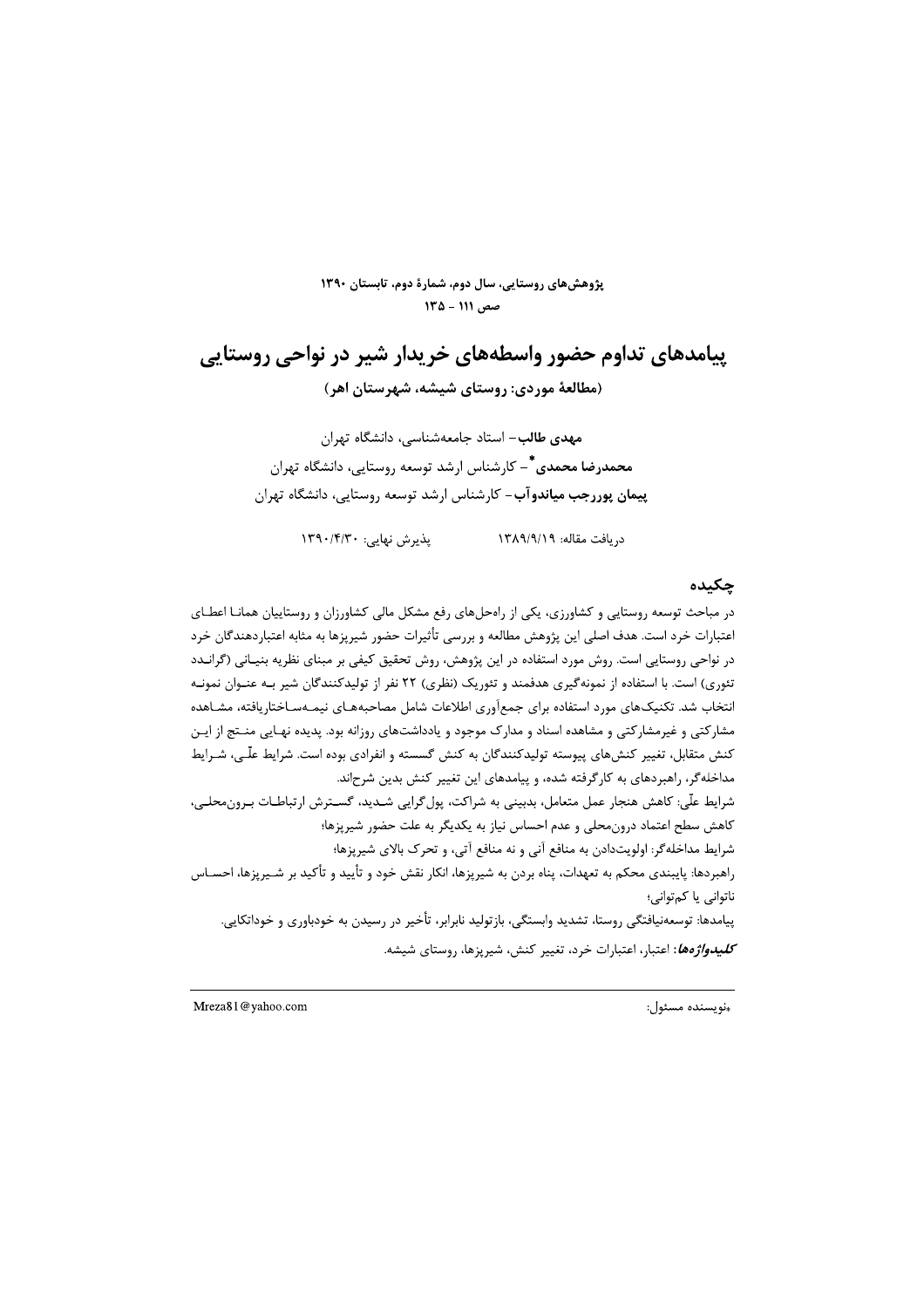پژوهشهای روستایی، سال دوم، شمارهٔ دوم، تابستان ۱۳۹۰  $140 - 111$ , صص

# پیامدهای تداوم حضور واسطههای خریدار شیر در نواحی روستایی (مطالعهٔ موردی: روستای شیشه، شهرستان اهر)

**مهدی طالب**– استاد جامعهشناسی، دانشگاه تهران **محمدرضا محمدی <sup>\*</sup> –** کارشناس ارشد توسعه روستایی، دانشگاه تهران پیمان پوررجب میاندوآب- کارشناس ارشد توسعه روستایی، دانشگاه تهران

> دريافت مقاله: ١٣٨٩/٩/١٩ یذیرش نهایی: ۱۳۹۰/۴/۳۰

#### جكىدە

در مباحث توسعه روستایی و کشاورزی، یکی از راهحلهای رفع مشکل مالی کشاورزان و روستاییان همانـا اعطـای اعتبارات خرد است. هدف اصلی این پژوهش مطالعه و بررسی تأثیرات حضور شیرپزها به مثابه اعتباردهندگان خرد در نواحی روستایی است. روش مورد استفاده در این پژوهش، روش تحقیق کیفی بر مبنای نظریه بنیـانی (گرانــدد تئوری) است. با استفاده از نمونهگیری هدفمند و تئوریک (نظری) ۲۲ نفر از تولیدکنندگان شیر بـه عنـوان نمونـه انتخاب شد. تکنیکهای مورد استفاده برای جمعآوری اطلاعات شامل مصاحبههـای نیمـهسـاختاریافته، مشـاهده مشارکتی و غیرمشارکتی و مشاهده اسناد و مدارک موجود و یادداشتهای روزانه بود. پدیده نهـایی منــتج از ایــن کنش متقابل، تغییر کنشهای پیوسته تولیدکنندگان به کنش گسسته و انفرادی بوده است. شرایط علّـی، شـرایط مداخلهگر، راهبردهای به کارگرفته شده، و پیامدهای این تغییر کنش بدین شرحاند. شرايط علّى: كاهش هنجار عمل متعامل، بدبيني به شراكت، پول گرايي شـديد، گسـترش ارتباطـات بـرون،محلـي، کاهش سطح اعتماد درون،محلی و عدم احساس نیاز به یکدیگر به علت حضور شیریزها؛ شرایط مداخله گر: اولویتدادن به منافع آنی و نه منافع آتی، و تحرک بالای شیریزها؛ راهبردها: پایبندی محکم به تعهدات، پناه بردن به شیرپزها، انکار نقش خود و تأیید و تأکید بر شـیرپزها، احسـاس ناتوانی یا کمتوانی؛ پیامدها: توسعەنیافتگی روستا، تشدید وابستگی، بازتولید نابرابر، تأخیر در رسیدن به خودباوری و خوداتکایی. *كليدواژهها***:** اعتبار، اعتبارات خرد، تغيير كنش، شيريزها، روستاي شيشه.

«نويسنده مسئول:

Mreza81@yahoo.com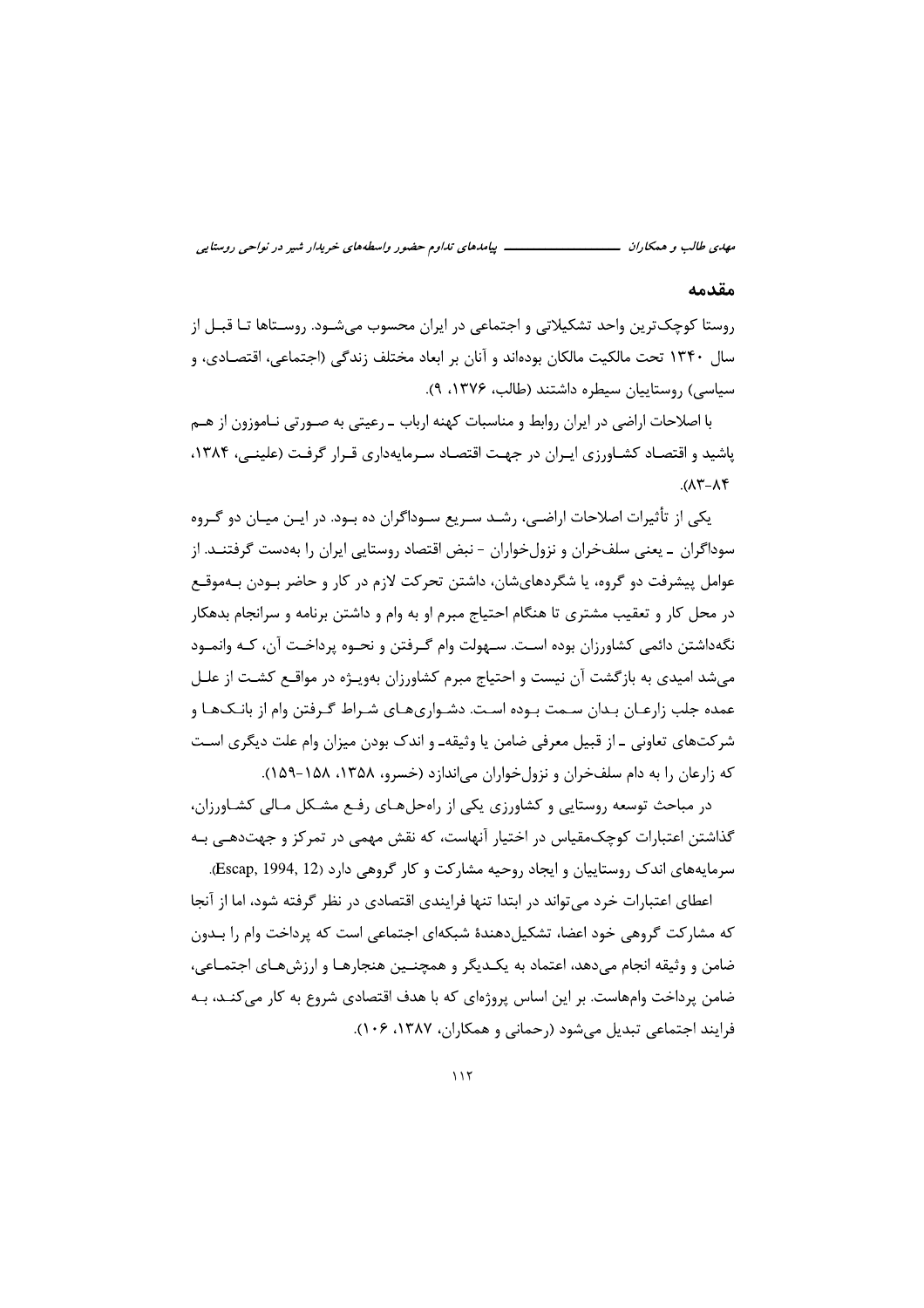مهدي طالب و همكاران ـــــــــــــ ــــ پیامدهای تداوم حضور واسطههای خریدار شیر در نواحی روستایی

#### مقدمه

روستا کوچک ترین واحد تشکیلاتی و اجتماعی در ایران محسوب می شــود. روســتاها تــا قبــل از سال ۱۳۴۰ تحت مالکیت مالکان بودهاند و آنان بر ابعاد مختلف زندگی (اجتماعی، اقتصـادی، و سیاسی) روستاییان سیطره داشتند (طالب، ۱۳۷۶، ۹).

با اصلاحات اراضی در ایران روابط و مناسبات کهنه ارباب ـ رعیتی به صـورتی نـاموزون از هـم یاشید و اقتصـاد کشـاورزی ایـران در جهـت اقتصـاد سـرمایهداری قـرار گرفـت (علینـی، ۱۳۸۴،  $A-\lambda f$ 

یکی از تأثیرات اصلاحات اراضـی، رشـد سـریع سـوداگران ده بـود. در ایـن میـان دو گـروه سوداگران ـ یعنی سلفخران و نزولخواران - نبض اقتصاد روستایی ایران را بهدست گرفتنــد. از عوامل پیشرفت دو گروه، یا شگردهایشان، داشتن تحرکت لازم در کار و حاضر بـودن بـهموقـع در محل کار و تعقیب مشتری تا هنگام احتیاج مبرم او به وام و داشتن برنامه و سرانجام بدهکار نگهداشتن دائمي كشاورزان بوده اسـت. سـهولت وام گـرفتن و نحـوه پرداخـت آن، كـه وانمـود می شد امیدی به بازگشت آن نیست و احتیاج مبرم کشاورزان بهویـژه در مواقـع کشـت از علـل عمده جلب زارعـان بـدان سـمت بـوده اسـت. دشـواريهـاي شـراط گـرفتن وام از بانـكـهـا و شرکتهای تعاونی ـ از قبیل معرفی ضامن یا وثیقهـ و اندک بودن میزان وام علت دیگری اسـت که زارعان را به دام سلفخران و نزولخواران می اندازد (خسرو، ۱۳۵۸، ۱۵۸–۱۵۹).

در مباحث توسعه روستایی و کشاورزی یکی از راه حل هـای رفـع مشـکل مـالی کشـاورزان، گذاشتن اعتبارات کوچک،قیاس در اختیار آنهاست، که نقش مهمی در تمرکز و جهتدهـی بـه سرمایههای اندک روستاییان و ایجاد روحیه مشارکت و کار گروهی دارد (Escap, 1994, 12).

اعطای اعتبارات خرد می تواند در ابتدا تنها فرایندی اقتصادی در نظر گرفته شود، اما از آنجا که مشارکت گروهی خود اعضا، تشکیلِ دهندهٔ شبکهای اجتماعی است که پرداخت وام را بـدون ضامن و وثيقه انجام مى دهد، اعتماد به يكـديگر و همچنــين هنجارهـا و ارزشهـاى اجتمـاعى، ضامن پرداخت وامهاست. بر این اساس پروژهای که با هدف اقتصادی شروع به کار می کنــد، بــه فرایند اجتماعی تبدیل می شود (رحمانی و همکاران، ۱۳۸۷، ۱۰۶).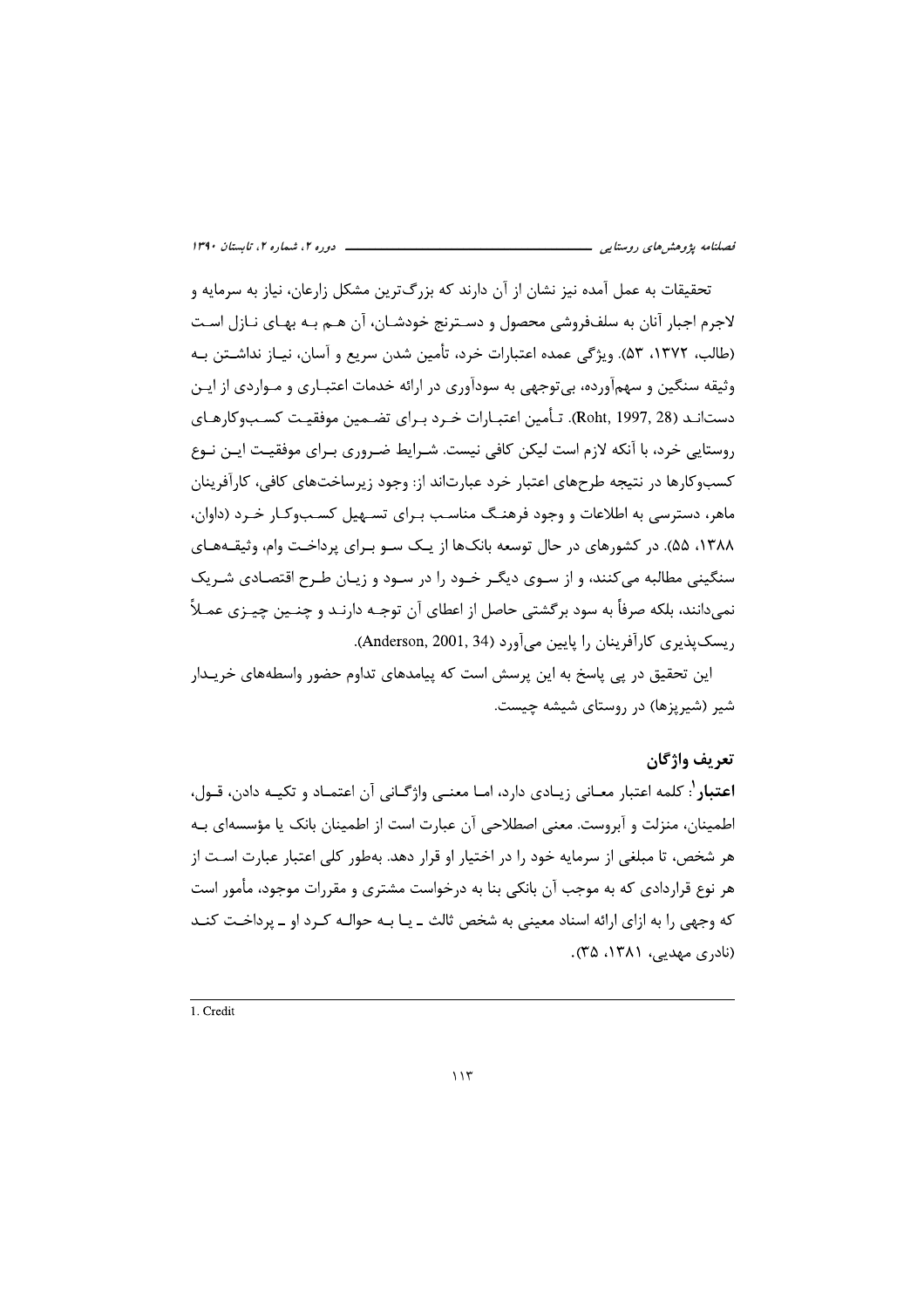! -*فصلنامه پژوهشهای روستایی*<br>ت*حقیقات ب*ه عمل آمده نیز نشان از آن دارند که بزرگترین مشکل زارعان، نیاز به سرمایه و<br>لاجرم اجبار آنان به سلفـفروشی محصول و دسـترنج خودشـان، آن هـم بـه بهـای نـازل اسـت<br>(طالب، ۱۳۷۲، ۵۳). ویژگی عم *فصلنامه پژوهشهای روستایی*<br>تحقیقات به عمل آمده نیز نشان از آن دارند که بزرگ<br>لاجرم اجبار آنان به سلففووشی محصول و دســترنج خود<br>(طالب، ۱۳۷۲، ۵۳). ویژگی عمده اعتبارات خرد، تأمین ش<br>وثیقه سنگین و سهمآورده، بی توجهی به سودآوری *فصلنامه پژوهش های روستایی*<br>تحقیقات به عمل آمده نیز نشان از آن<br>لاجرم اجبار آنان به سلففووشی محصول<br>(طالب، ۱۳۷۲، ۵۳). ویژگی عمده اعتبارات<br>وثیقه سنگین و سهمآورده، بی توجهی به س *فصلنامه پژوهشهای روستایی*<br>تحقیقات به عمل آمده نیز نشان از آن دارن<br>لاجرم اجبار آنان به سلففووشی محصول و دسا<br>(طالب، ۱۳۷۲، ۵۳). ویژگی عمده اعتبارات خر<br>وثیقه سنگین و سهمآورده، بی توجهی به سودآ ا*نصلنامه پزرهشهای روستایی*<br>ا*نصلنامه پزرهشهای روستایی*<br>تحقیقات به عمل آمده نیز نشان از آن دارند که بزرگ ترین مشکل زارعان، نیاز به سرمایه و<br>لاجرم اجبار آنان به سلفخووشی محصول و دسـترنج خودشـان، آن هـم بـه بهـای نـازل اسـت وثیقه سنگین و سهماورده، بی'فوجهی به سوداوری در ارائه خدمات اعتبـاری و مـواردی از ایـن<br>دستـانــد (Roht, 1997, 38). تـأمین اعتبـارات خـرد بـرای تضــمین موفقیـت کســبـوکارهـای<br>رستـایـی خرد، با آنکه لازم است لیکن کافی نیست. ش

متداد المراد المراد المراد المراد و المراد المراد المراد المراد المراد المراد المراد المراد المراد المراد المر<br>المكان الممكن المراد المراد المراد المراد المراد المراد المراد المراد المراد المراد المراد المراد المراد المر<br>

´´³³³³³³³³³³³³³³³³³³³³³³³³³³³³³³³³³³³³³³³³³³³³³³³³³³³³³³³³³³³³³³³³³³³³³³³³³³³³³³³³³³³³³³³³³³³³³³³³³³³³³³³³³³³³³³³³³³³³³³³³³³³³³³³³³³³³³³³³³³³³³³³³³³³³³³³³³³³³³³³³³³³³³³³³³³³³³³³³³³³³³³³³³³³³³³³³³³³³³³³³³³³³³³³³³³³³³³³³³³³³³³³³³³³³³³³³³³³³³³³³³³³³³³³³³³³³³ 1. Credit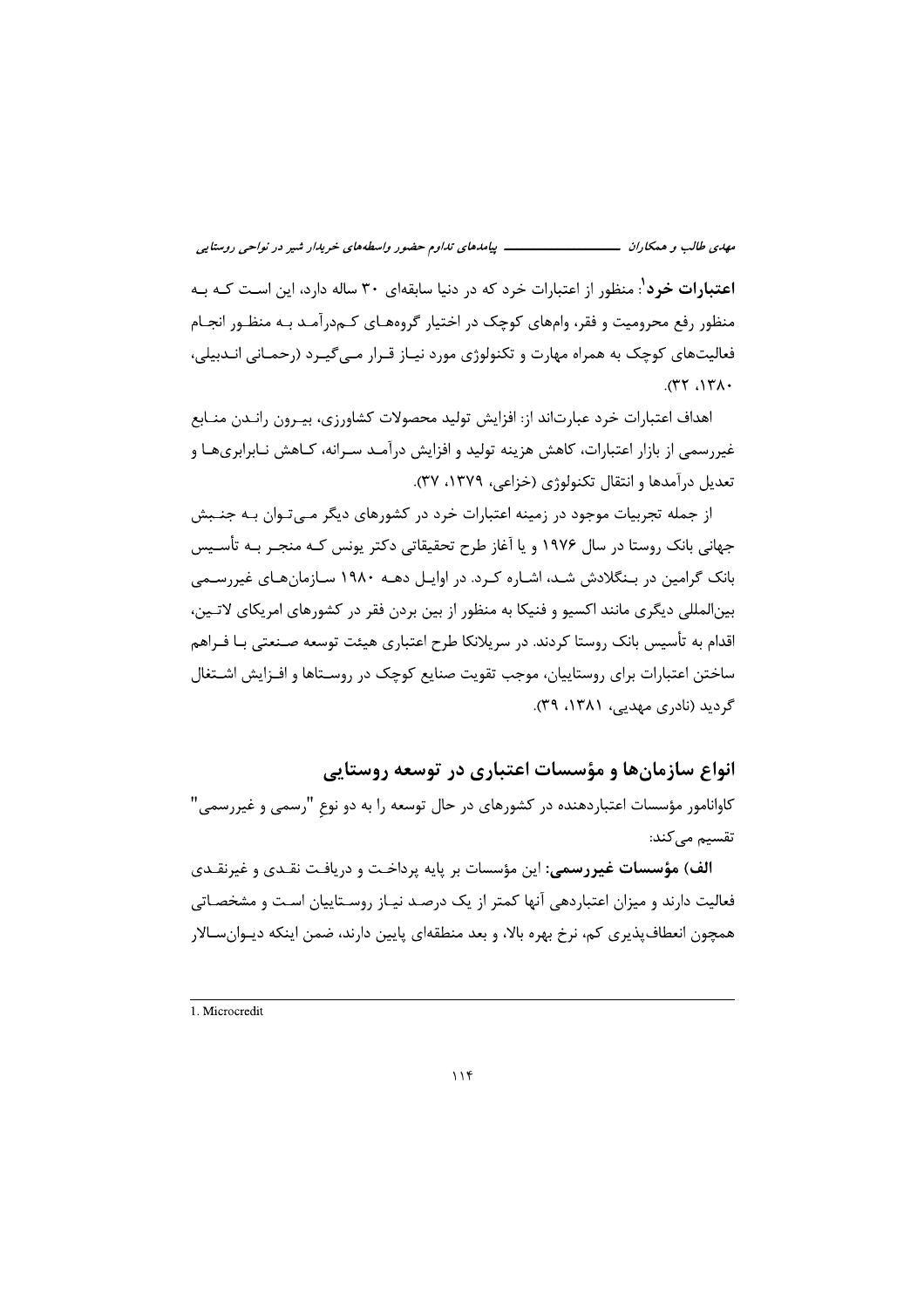*مضور واسطههای خریدار شیر در نواحی روستایی*<br>ابقهای ۳۰ ساله دارد، این اسـت کـه بـه<br>گروههـای کــهدرآمــد بــه منظــور انجــام<br>یــاز قــرار مــیگیــرد (رحمــانی انــدبیلی، *ن تداوم حضور واسطههای خریدار شیر در نواحی روستایی*<br>دنیا سابقهای ۳۰ ساله دارد، این اسـت کـه بـه<br>اختیار گروههـای کـمدرآمـد بـه منظـور انجـام<br>، مورد نیـاز قـرار مـیگیـرد (رحمـانی انـدبیلی، *پیامدهای تداوم حضور واسطههای خریدار شیر در نواحی روستایی*<br>که در دنیا سابقهای ۳۰ ساله دارد، این اسـت کـه بـه<br>کـه در اختیار گروههـای کــهدرآمــد بــه منظـور انجــام<br>جولوژی مورد نیــاز قــرار مــیگیــرد (رحمــانی انــدبیلی، باسه *ای اساده ای تداوم حضور واسطههای خریدار شیر در نواحی روستایی*<br>اعتبارات خرد که در دنیا سابقهای ۳۰ ساله دارد، این اسـت کـه بـه<br>بر، وامهای کوچک در اختیار گروههـای کـمدرآمـد بـه منظـور انجـام<br>راه مهارت و تکنولوژی مورد نی م*هدی طالب و همکاران*<br>- *مهدی طالب و همکاران*<br>**اعتبارات خرد** : منظور از اعتبارات خرد که در دنیا سابقهای ۳۰ ساله دارد، این اسـت کـه بـه<br>منظور رفع محرومیت و فقر، وامهای کوچک در اختیار گروههـای کـمدرآمـد بـه منظـور انجـام<br>فع م*هدی طالب و همکاران*<br>**اعتبارات خرد<sup>1</sup>: منظور از اعتبارات خرد که در د**<br>منظور رفع محرومیت و فقر، وامهای کوچک در اخ<br>فعالیتهای کوچک به همراه مهارت و تکنولوژی ه<br>۲۲، ۱۳۸۰. م*هدی طالب و همکاران*<br>**اعتبارات خرد<sup>י</sup>: منظور از اعتبارات خرد**<br>منظور رفع محرومیت و فقر، وامهای کوچ<br>فعالیتهای کوچک به همراه مهارت و تک<br>فعالیتهای کوچک به همراه مهارت و تک م*هدی طالب و همکاران*<br>اعتب**ارات خرد<sup>1</sup>: م**نظور از اعتبارات خرد که در دنیا سابقهای ۳۰ ساله دارد، این است کـه بـه<br>منظور رفع محرومیت و فقر، وامهای کوچک در اختیار گروههای کـم.درآمـد بـه منظـور انجـام<br>فعالیتـهای کوچک به همراه فعالیتهای کوچک به همراه مهارت و تکنولوژی مورد نیـاز قـرار مـیگیـرد (رحمـانی انــدبیلی،<br>۱۳۸۰، ۳۲).<br>اهداف اعتبارات خرد عبارتاند از: افزایش تولید محصولات کشاورزی، بیـرون رانــدن منــابع<br>غیررسمی از بازار اعتبارات، کاهش هزینه

تعدیل درآمدها و انتقال تکنولوژی (خزاعی، ۱۳۷۹، ۳۷).<br>از جمله تجربیات موجود در زمینه اعتبارات خرد در کشورهای دیگر مـیتـوان بـه جنــبش<br>جهانی بانک روستا در سال ۱۹۷۶ و یا آغاز طرح تحقیقاتی دکتر یونس کـه منجـر بـه تأســیس<br>بانک گ بين|لمللي ديگري مانند اكسيو و فنيكا به منظور از بين بردن فقر در كشورهاي امريكاي لاتـين، اقدام به تأسیس بانک روستا کردند. در سریلانکا طرح اعتباری هیئت توسعه صـنعتی بـا فـراهم<br>ساختن اعتبارات برای روستاییان، موجب تقویت صنایع کوچک در روسـتاها و افـزایش اشـتغال<br>گردید (نادری مهدبی، ۱۳۸۱، ۳۹).

انواع سازمانها و مؤسسات اعتباری در توسعه روستایی

کاوانامور مؤسسات اعتباردهنده در کشورهای در حال توسعه را به دو نوعِ "رسمی و غیررسمی"<br>تقسیم میکند:

گردید (نادری مهدیی، ۱۳۸۱، ۲۹).<br>**آنواع سازمان ها و مؤسسات اعتباری در توسعه روستایی**<br>کاوانامور مؤسسات اعتباردهنده در کشورهای در حال توسعه را به دو نوع "رسمی و غیررسمی"<br>کاوانامور مؤسسات اعتباردهنده در کشورهای در حال توسعه را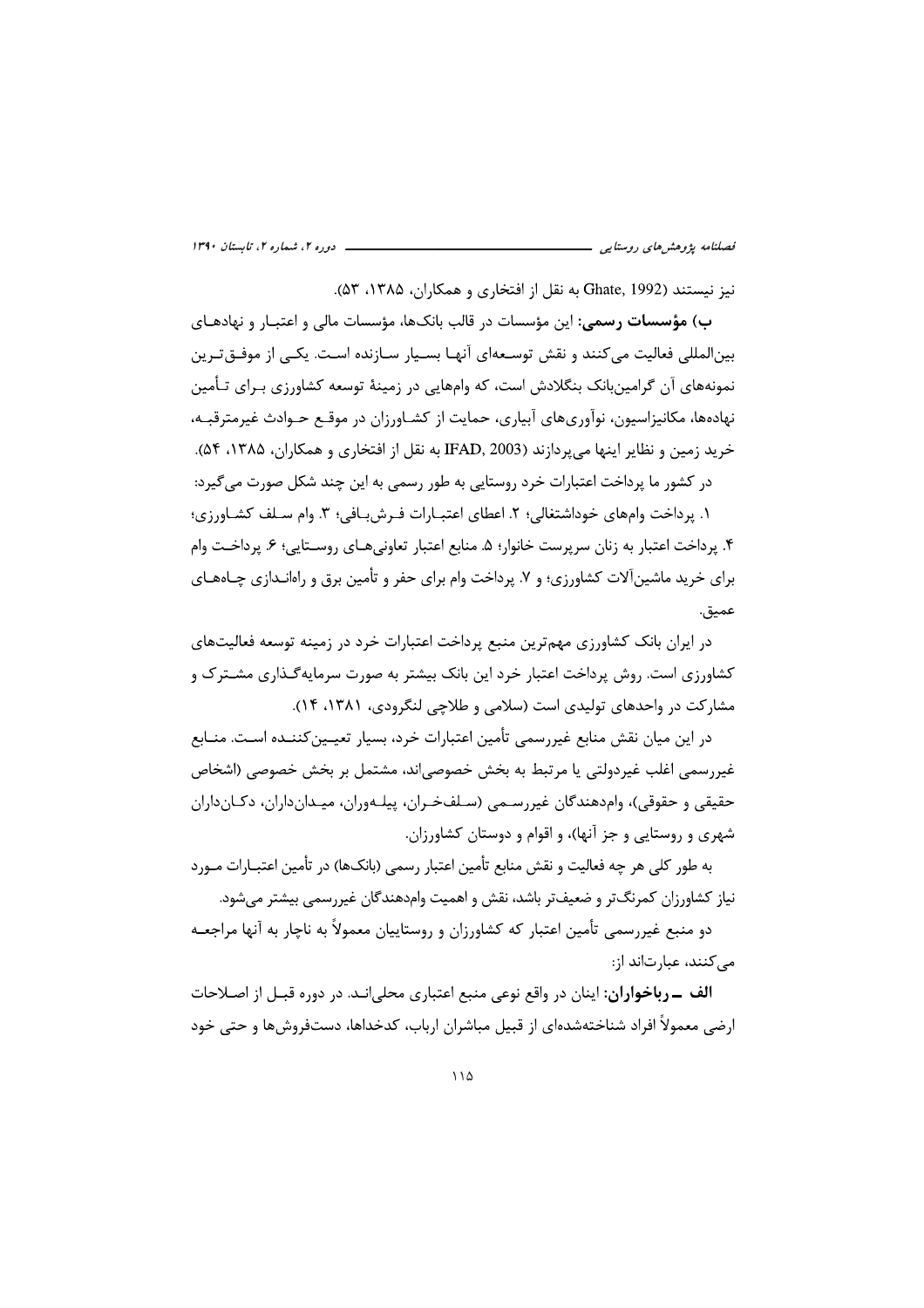نيز نيستند (Ghate, 1992 به نقل از افتخاري و همكاران، ۱۳۸۵، ۵۳).

ب) م**ؤسسات رسمی**: این مؤسسات در قالب بانکها، مؤسسات مالی و اعتبـار و نهادهـای بینالمللی فعالیت میکنند و نقش توسعهای آنهـا بسـیار سـازنده اسـت. یکـی از موفــقتـرین نمونههای آن گرامینبانک بنگلادش است، که وامهایی در زمینهٔ توسعه کشاورزی بـرای تـأمین نهادهها، مکانیزاسیون، نوآوریهای آبیاری، حمایت از کشـاورزان در موقـع حـوادث غیرمترقبـه، خريد زمين و نظاير اينها مي يردازند (IFAD, 2003 به نقل از افتخاري و همكاران، ۱۳۸۵، ۵۴).

در کشور ما پرداخت اعتبارات خرد روستایی به طور رسمی به این چند شکل صورت می گیرد:

١. يرداخت وامهاى خوداشتغالى؛ ٢. اعطاى اعتبـارات فـرش بـافى؛ ٣. وام سـلف كشـاورزى؛ ۴. پرداخت اعتبار به زنان سرپرست خانوار؛ ۵. منابع اعتبار تعاونی هـای روسـتایی؛ ۶. پرداخـت وام برای خرید ماشینآلات کشاورزی؛ و ۷. پرداخت وام برای حفر و تأمین برق و راهانـدازی چــاههــای عميق.

در ایران بانک کشاورزی مهمترین منبع پرداخت اعتبارات خرد در زمینه توسعه فعالیتهای کشاورزی است. روش پرداخت اعتبار خرد این بانک بیشتر به صورت سرمایهگـذاری مشــتر ک و مشارکت در واحدهای تولیدی است (سلامی و طلاحی لنگرودی، ۱۳۸۱، ۱۴).

در این میان نقش منابع غیررسمی تأمین اعتبارات خرد، بسیار تعیـین کننــده اسـت. منــابع غیررسمی اغلب غیردولتی یا مرتبط به بخش خصوصی|ند، مشتمل بر بخش خصوصی (اشخاص حقیقی و حقوقی)، وام هندگان غیررسمی (سلفخران، پیلـهوران، میـدانداران، دکـانداران شهری و روستایی و جز آنها)، و اقوام و دوستان کشاورزان.

به طور کلی هر چه فعالیت و نقش منابع تأمین اعتبار رسمی (بانکها) در تأمین اعتبـارات مـورد نیاز کشاورزان کمرنگ تر و ضعیف تر باشد، نقش و اهمیت وامدهندگان غیررسمی بیشتر می شود.

دو منبع غیررسمی تأمین اعتبار که کشاورزان و روستاییان معمولاً به ناچار به آنها مراجعـه مے کنند، عبارتاند از:

**الف - رباخواران:** اینان در واقع نوعی منبع اعتباری محلی انـد. در دوره قبـل از اصـلاحات ارضی معمولاً افراد شناختهشدهای از قبیل مباشران ارباب، کدخداها، دستفروشها و حتی خود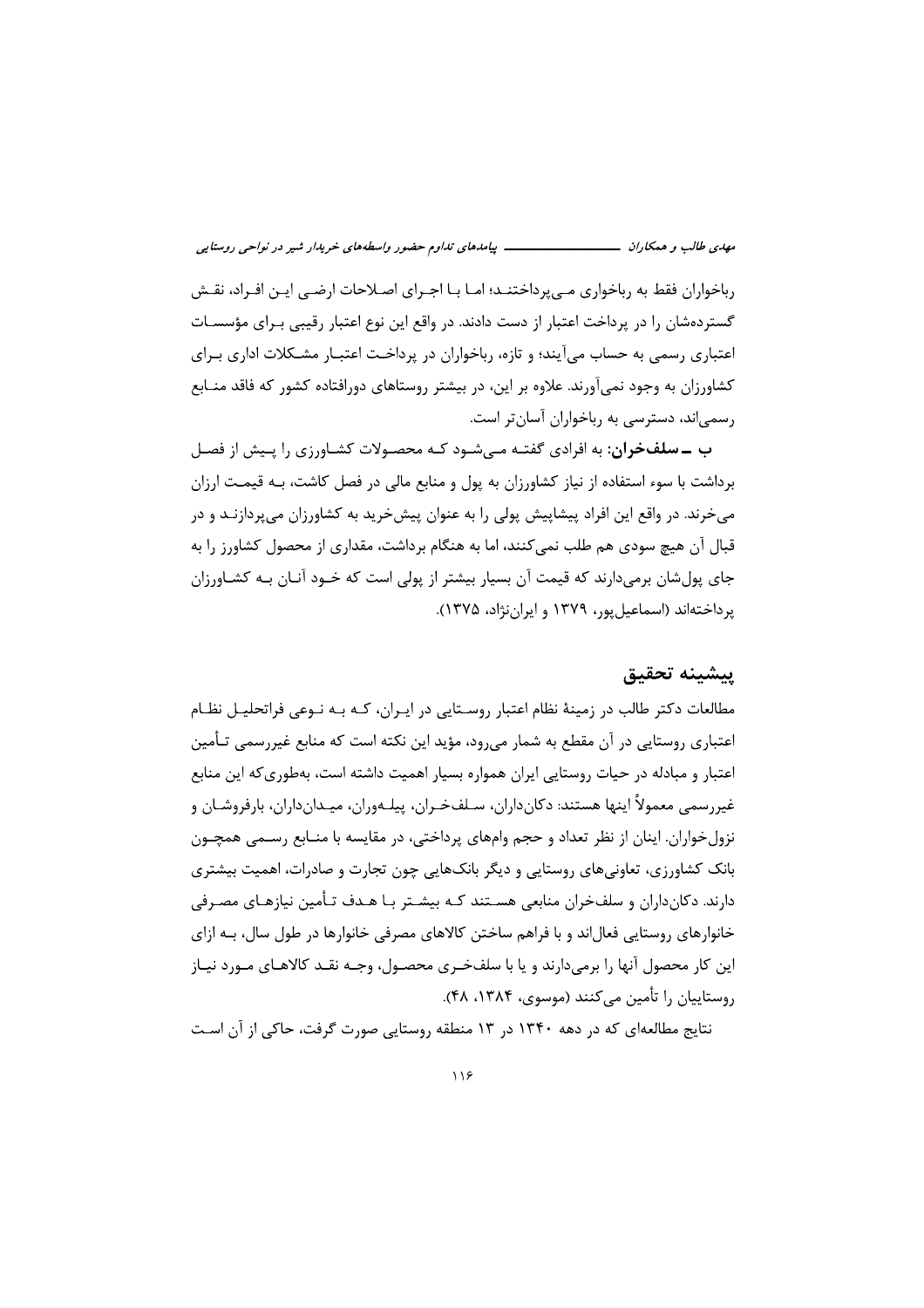رباخواران فقط به رباخواری مے پرداختنـد؛ امـا بـا اجـرای اصـلاحات ارضـی ایـن افـراد، نقـش گستر دهشان را در پرداخت اعتبار از دست دادند. در واقع این نوع اعتبار رقیبی بـرای مؤسسـات اعتباری رسمی به حساب میآیند؛ و تازه، رباخواران در پرداخت اعتبـار مشـكلات اداری بـرای کشاورزان به وجود نمی آورند. علاوه بر این، در بیشتر روستاهای دورافتاده کشور که فاقد منـابع رسمی اند، دسترسی به رباخواران آسان تر است.

**ب ــ سلفخران:** به افرادی گفتـه مـی شـود کـه محصـولات کشـاورزی را پـیش از فصـل برداشت با سوء استفاده از نیاز کشاورزان به پول و منابع مالی در فصل کاشت، بـه قیمـت ارزان میخرند. در واقع این افراد پیشاپیش پولی را به عنوان پیشخرید به کشاورزان میپردازنـد و در قبال آن هیچ سودی هم طلب نمی کنند، اما به هنگام برداشت، مقداری از محصول کشاورز را به جای پول شان برمی دارند که قیمت آن بسیار بیشتر از پولی است که خـود آنـان بـه کشـاورزان یرداختهاند (اسماعیل یور، ۱۳۷۹ و ایران نژاد، ۱۳۷۵).

### يتشينه تحقيق

مطالعات دکتر طالب در زمینهٔ نظام اعتبار روسـتایی در ایـران، کـه بـه نـوعی فراتحلیـل نظـام اعتباری روستایی در آن مقطع به شمار می٫رود، مؤید این نکته است که منابع غیر٫سمی تـأمین اعتبار و مبادله در حیات روستایی ایران همواره بسیار اهمیت داشته است، بهطوری که این منابع غيررسمي معمولاً اينها هستند: دكانداران، سـلفخـران، پيلـهوران، ميـدانداران، بارفروشـان و نزولخواران. اینان از نظر تعداد و حجم وامهای پرداختی، در مقایسه با منـابع رسـمی همچـون بانک کشاورزی، تعاونیهای روستایی و دیگر بانکهایی چون تجارت و صادرات، اهمیت بیشتری دارند. دکانداران و سلفخران منابعی هسـتند کـه بیشـتر بـا هـدف تـأمین نیازهـای مصـرفی خانوارهای روستایی فعالiند و با فراهم ساختن کالاهای مصرفی خانوارها در طول سال، بـه ازای این کار محصول آنها را برمیدارند و یا با سلفخـری محصـول، وجـه نقـد کالاهـای مـورد نیـاز روستاییان را تأمین مے کنند (موسوی، ۱۳۸۴، ۴۸).

نتایج مطالعهای که در دهه ۱۳۴۰ در ۱۳ منطقه روستایی صورت گرفت، حاکی از آن است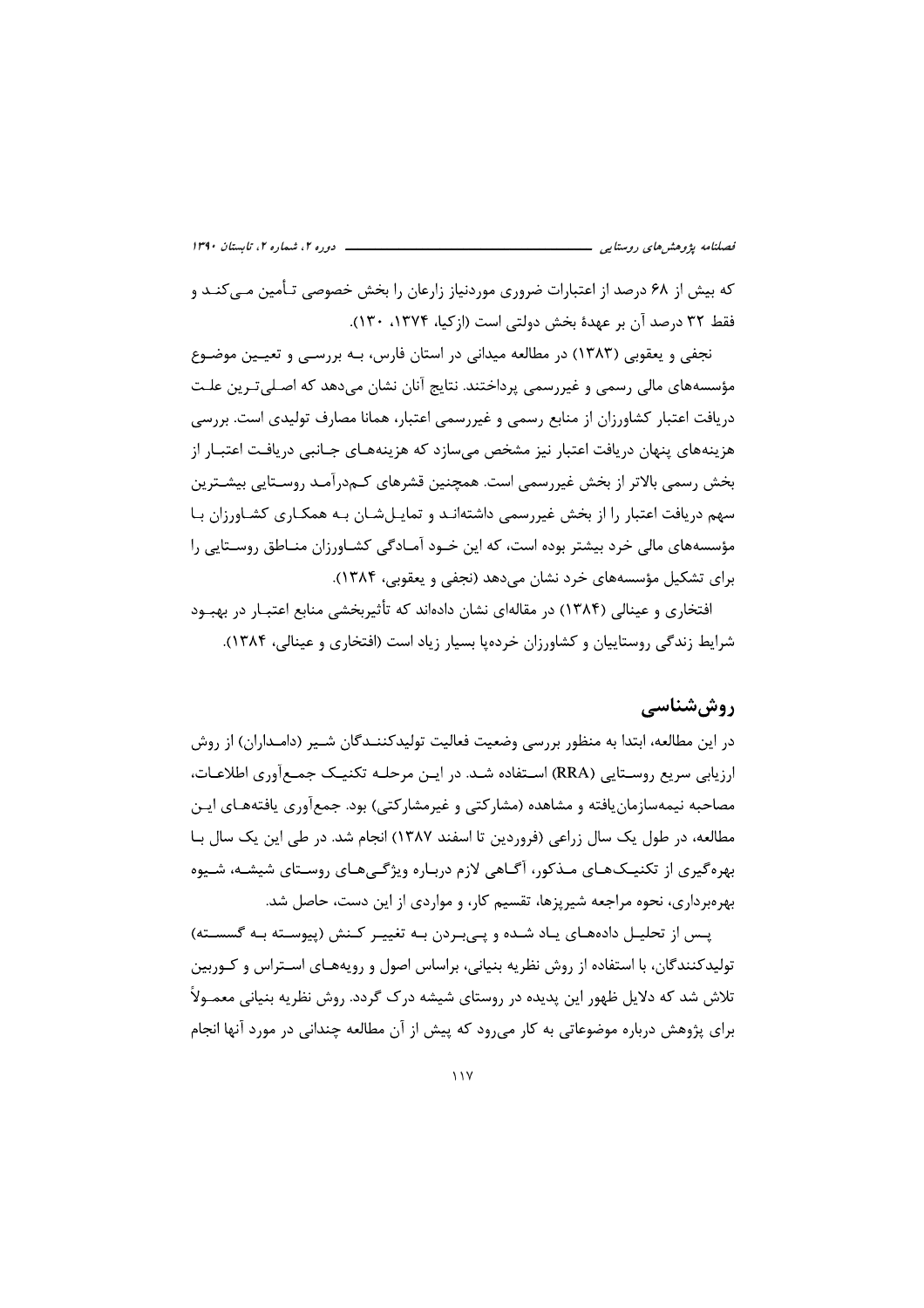که بیش از ۶۸ درصد از اعتبارات ضروری موردنیاز زارعان را بخش خصوصی تـأمین مـی)کنـد و فقط ٣٢ درصد آن بر عهدة بخش دولتي است (ازكيا، ١٣٧۴، ١٣٠).

نجفی و یعقوبی (۱۳۸۳) در مطالعه میدانی در استان فارس، بـه بررسـی و تعیـین موضـوع مؤسسههای مالی رسمی و غیررسمی پرداختند. نتایج آنان نشان می دهد که اصـلی تـرین علـت دریافت اعتبار کشاورزان از منابع رسمی و غیررسمی اعتبار، همانا مصارف تولیدی است. بررسی هزینههای پنهان دریافت اعتبار نیز مشخص می سازد که هزینههـای جـانبی دریافـت اعتبـار از بخش رسمی بالاتر از بخش غیررسمی است. همچنین قشرهای کـمدرآمـد روسـتایی بیشـترین سهم دریافت اعتبار را از بخش غیررسمی داشتهانـد و تمایـلشـان بـه همکـاری کشـاورزان بـا مؤسسههای مالی خرد بیشتر بوده است، که این خـود آمـادگی کشـاورزان منـاطق روسـتایی را برای تشکیل مؤسسههای خرد نشان می دهد (نجفی و یعقوبی، ۱۳۸۴).

افتخاری و عینالی (۱۳۸۴) در مقالهای نشان دادهاند که تأثیربخشی منابع اعتبـار در بهبـود شرایط زندگی روستاییان و کشاورزان خرده یا بسیار زیاد است (افتخاری و عینالی، ۱۳۸۴).

## روش شناسے ِ

در این مطالعه، ابتدا به منظور بررسی وضعیت فعالیت تولیدکننــدگان شــیر (دامــداران) از روش ارزیابی سریع روسـتایی (RRA) اسـتفاده شـد. در ایـن مرحلـه تکنیـک جمـع[وری اطلاعـات، مصاحبه نیمهسازمان یافته و مشاهده (مشارکتی و غیرمشارکتی) بود. جمعآوری یافتههـای ایـن مطالعه، در طول یک سال زراعی (فروردین تا اسفند ۱۳۸۷) انجام شد. در طی این یک سال بـا بهرهگیری از تکنیـکـهـای مـذکور، آگـاهی لازم دربـاره ویژگـیهـای روسـتای شیشـه، شـیوه بهرهبرداری، نحوه مراجعه شیریزها، تقسیم کار، و مواردی از این دست، حاصل شد.

یس از تحلیل دادههای یاد شده و پی بردن به تغییر کنش (پیوسته به گسسته) تولیدکنندگان، با استفاده از روش نظریه بنیانی، براساس اصول و رویههـای اسـتراس و کـوربین تلاش شد که دلایل ظهور این پدیده در روستای شیشه درک گردد. روش نظریه بنیانی معمـولاً برای پژوهش درباره موضوعاتی به کار میرود که پیش از آن مطالعه چندانی در مورد آنها انجام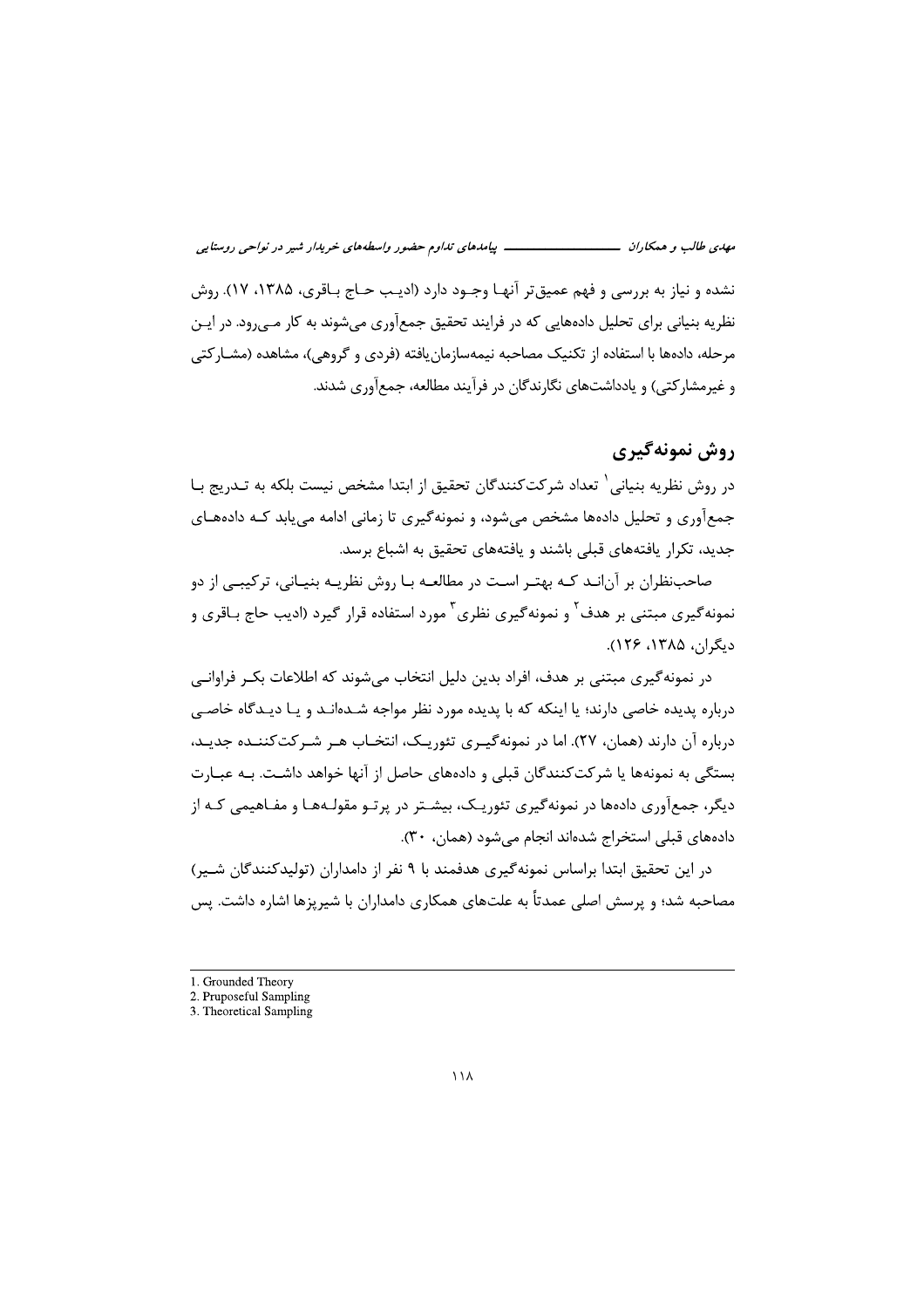ـــــ پیامدهای تداوم حضور واسطههای خریدار شیر در نواحی روستایی مهدي طالب و همكاران ــــــــــــــــــــــ

نشده و نیاز به بررسی و فهم عمیق تر آنهـا وجـود دارد (ادیـب حـاج بـاقری، ۱۳۸۵، ۱۷). روش نظریه بنیانی برای تحلیل دادههایی که در فرایند تحقیق جمعآوری میشوند به کار مـیرود. در ایـن مرحله، دادهها با استفاده از تکنیک مصاحبه نیمهسازمان یافته (فردی و گروهی)، مشاهده (مشــارکتی و غیرمشارکتی) و یادداشتهای نگارندگان در فرآیند مطالعه، جمعآوری شدند.

# روش نمونهگېري

در روش نظریه بنیانی <sup>۱</sup> تعداد شرکتکنندگان تحقیق از ابتدا مشخص نیست بلکه به تـدریج بـا جمعآوری و تحلیل دادهها مشخص می شود، و نمونه گیری تا زمانی ادامه می یابد کـه دادههـای جدید، تکرار یافتههای قبلی باشند و یافتههای تحقیق به اشباع برسد.

صاحبنظران بر آنانـد کـه بهتـر اسـت در مطالعـه بـا روش نظريـه بنيـاني، ترکيبـي از دو نمونه *گ*یری مبتنی بر هدف<sup>۲</sup> و نمونه *گ*یری نظری<sup>۳</sup> مورد استفاده قرار گیرد (ادیب حاج بـاقری و دىگران، ۱۳۸۵، ۱۲۶).

در نمونه گیری مبتنی بر هدف، افراد بدین دلیل انتخاب می،شوند که اطلاعات بکـر فراوانـی درباره پدیده خاصی دارند؛ یا اینکه که با پدیده مورد نظر مواجه شـدهانـد و یـا دیـدگاه خاصـی درباره آن دارند (همان، ۲۷). اما در نمونه گیـری تئوریـک، انتخـاب هـر شـر کت کننـده جدیـد، بستگی به نمونهها یا شرکتکنندگان قبلی و دادههای حاصل از آنها خواهد داشـت. بـه عبـارت دیگر، جمعآوری دادهها در نمونهگیری تئوریـک، بیشـتر در پرتـو مقولـههـا و مفـاهیمی کـه از دادههای قبلی استخراج شدهاند انجام می شود (همان، ۳۰).

در این تحقیق ابتدا براساس نمونه گیری هدفمند با ۹ نفر از دامداران (تولیدکنندگان شـیر) مصاحبه شد؛ و پرسش اصلی عمدتاً به علتهای همکاری دامداران با شیریزها اشاره داشت. پس

<sup>1.</sup> Grounded Theory

<sup>2.</sup> Pruposeful Sampling 3. Theoretical Sampling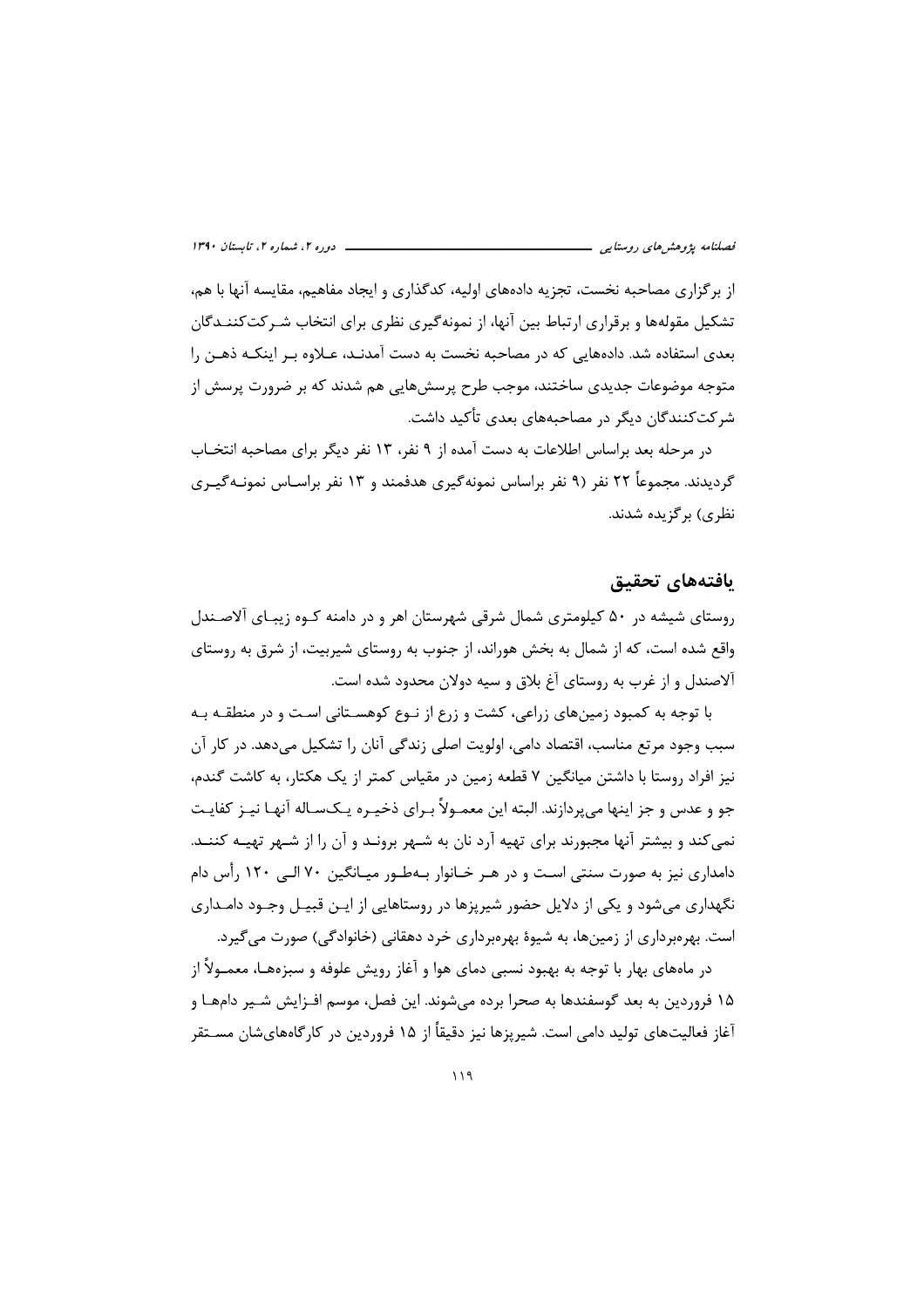از برگزاری مصاحبه نخست، تجزیه دادههای اولیه، کدگذاری و ایجاد مفاهیم، مقایسه آنها با هم، تشکیل مقولهها و برقراری ارتباط بین آنها، از نمونهگیری نظری برای انتخاب شـرکتکننـدگان بعدی استفاده شد. دادههایی که در مصاحبه نخست به دست آمدنـد، عـلاوه بـر اینکـه ذهـن را متوجه موضوعات جدیدی ساختند، موجب طرح پرسش۱ویی هم شدند که بر ضرورت پرسش از شرکتکنندگان دیگر در مصاحبههای بعدی تأکید داشت.

در مرحله بعد براساس اطلاعات به دست آمده از ۹ نفر، ۱۳ نفر دیگر برای مصاحبه انتخـاب گردیدند. مجموعاً ۲۲ نفر (۹ نفر براساس نمونهگیری هدفمند و ۱۳ نفر براسـاس نمونـهگیـری نظري) پر گزيده شدند.

### يافتههاي تحقيق

روستای شیشه در ۵۰ کیلومتری شمال شرقی شهرستان اهر و در دامنه کـوه زیبـای آلاصـندل واقع شده است، که از شمال به بخش هوراند، از جنوب به روستای شیربیت، از شرق به روستای آلاصندل و از غرب به روستای آغ بلاق و سیه دولان محدود شده است.

با توجه به کمبود زمینهای زراعی، کشت و زرع از نـوع کوهسـتانی اسـت و در منطقـه بـه سبب وجود مرتع مناسب، اقتصاد دامی، اولویت اصلی زندگی آنان را تشکیل می،دهد. در کار آن نیز افراد روستا با داشتن میانگین ۷ قطعه زمین در مقیاس کمتر از یک هکتار، به کاشت گندم، جو و عدس و جز اینها می پردازند. البته این معمـولاً بـرای ذخیـره یـکسـاله آنهـا نیـز کفایـت نمی کند و بیشتر آنها مجبورند برای تهیه آرد نان به شـهر برونـد و آن را از شـهر تهیـه کننـد. دامداری نیز به صورت سنتی است و در هـر خـانوار بـهطـور میـانگین ۷۰ الـی ۱۲۰ رأس دام نگهداری میشود و یکی از دلایل حضور شیرپزها در روستاهایی از ایـن قبیـل وجـود دامـداری است. بهرمبرداری از زمینها، به شیوهٔ بهرمبرداری خرد دهقانی (خانوادگی) صورت می گیرد.

در ماههای بهار با توجه به بهبود نسبی دمای هوا و آغاز رویش علوفه و سبزههـا، معمــولاً از ۱۵ فروردین به بعد گوسفندها به صحرا برده می شوند. این فصل، موسم افـزایش شـیر دامهـا و آغاز فعالیتهای تولید دامی است. شیریزها نیز دقیقاً از ۱۵ فروردین در کارگاههایشان مســتقر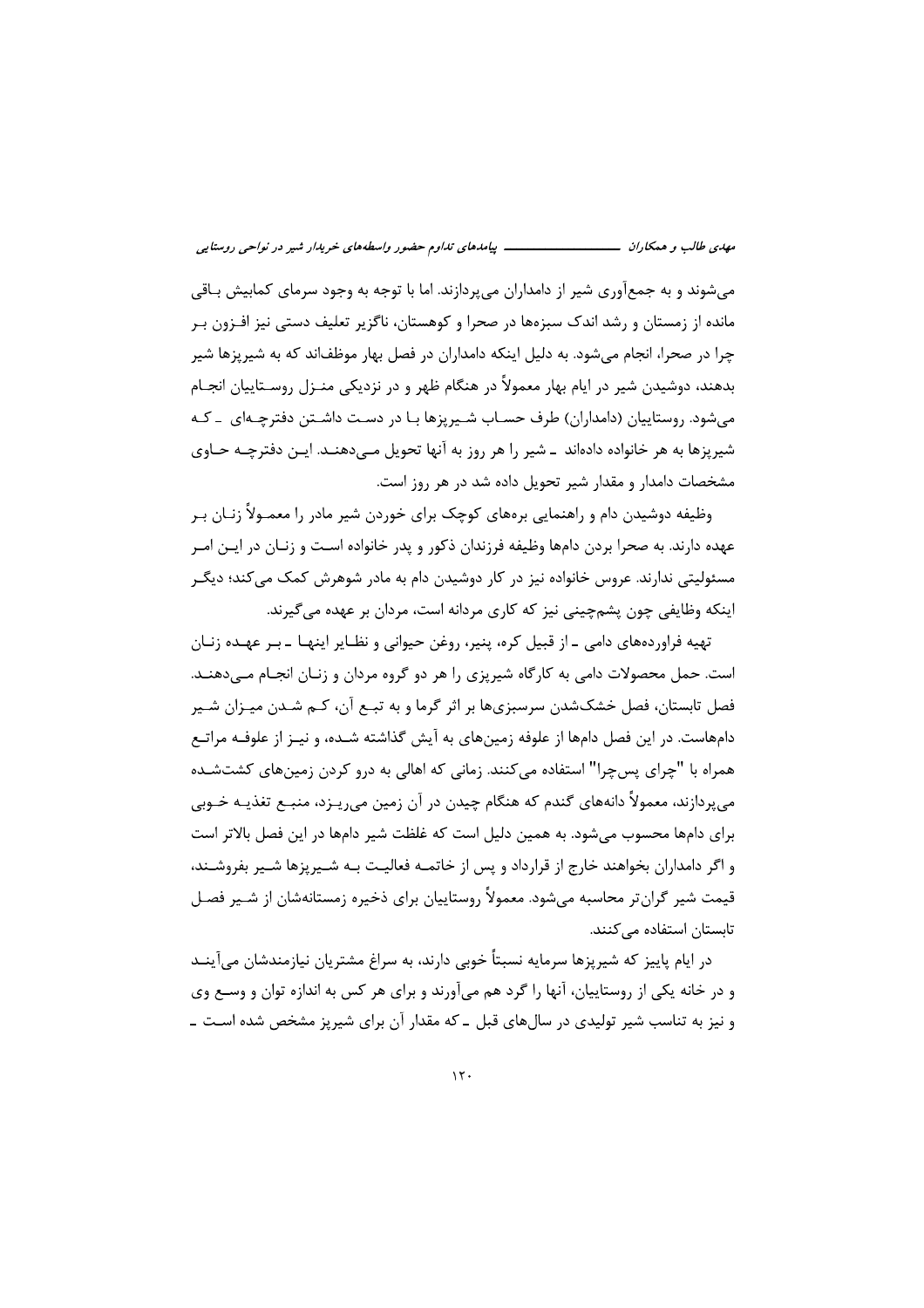می شوند و به جمعآوری شیر از دامداران می پردازند. اما با توجه به وجود سرمای کمابیش بـاقی مانده از زمستان و رشد اندک سبزهها در صحرا و کوهستان، ناگزیر تعلیف دستی نیز افـزون بـر چرا در صحرا، انجام میشود. به دلیل اینکه دامداران در فصل بهار موظفاند که به شیرپزها شیر بدهند، دوشیدن شیر در ایام بهار معمولاً در هنگام ظهر و در نزدیکی منـزل روسـتاییان انجـام می شود. روستاییان (دامداران) طرف حسـاب شـیریزها بـا در دسـت داشـتن دفترچـهای بـ کـه شیریزها به هر خانواده دادهاند \_ شیر را هر روز به آنها تحویل مــی‹هنــد. ایــن دفترچــه حــاوی مشخصات دامدار و مقدار شیر تحویل داده شد در هر روز است.

وظیفه دوشیدن دام و راهنمایی برههای کوچک برای خوردن شیر مادر را معمـولاً زنـان بـر عهده دارند. به صحرا بردن دامها وظیفه فرزندان ذکور و پدر خانواده است و زنـان در ایـن امـر مسئولیتی ندارند. عروس خانواده نیز در کار دوشیدن دام به مادر شوهرش کمک می کند؛ دیگـر اینکه وظایفی چون پشمچینی نیز که کاری مردانه است، مردان بر عهده می گیرند.

تهیه فراوردههای دامی ــ از قبیل کره، پنیر، روغن حیوانی و نظــایر اینهــا ــ بــر عهـده زنــان است. حمل محصولات دامی به کارگاه شیریزی را هر دو گروه مردان و زنـان انجـام مـی،دهنـد. فصل تابستان، فصل خشکشدن سرسبزیها بر اثر گرما و به تبـع آن، کـم شـدن میـزان شـیر دامهاست. در این فصل دامها از علوفه زمینهای به آیش گذاشته شـده، و نیـز از علوفـه مراتـع همراه با "چرای پسچرا" استفاده میکنند. زمانی که اهالی به درو کردن زمینهای کشتشـده مے یردازند، معمولاً دانەھای گندم که هنگام چیدن در آن زمین میریـزد، منبــع تغذیــه خــوبی برای دامها محسوب می شود. به همین دلیل است که غلظت شیر دامها در این فصل بالاتر است و اگر دامداران بخواهند خارج از قرارداد و پس از خاتمـه فعالیـت بـه شــیریزها شــیر بفروشــند، قیمت شیر گران تر محاسبه می شود. معمولاً روستاییان برای ذخیره زمستانهشان از شـیر فصـل تابستان استفاده مے کنند.

در ایام پاییز که شیرپزها سرمایه نسبتاً خوبی دارند، به سراغ مشتریان نیازمندشان می آینــد و در خانه یکی از روستاییان، آنها را گرد هم میآورند و برای هر کس به اندازه توان و وسـع وی و نیز به تناسب شیر تولیدی در سالهای قبل ـ که مقدار آن برای شیرپز مشخص شده است ـ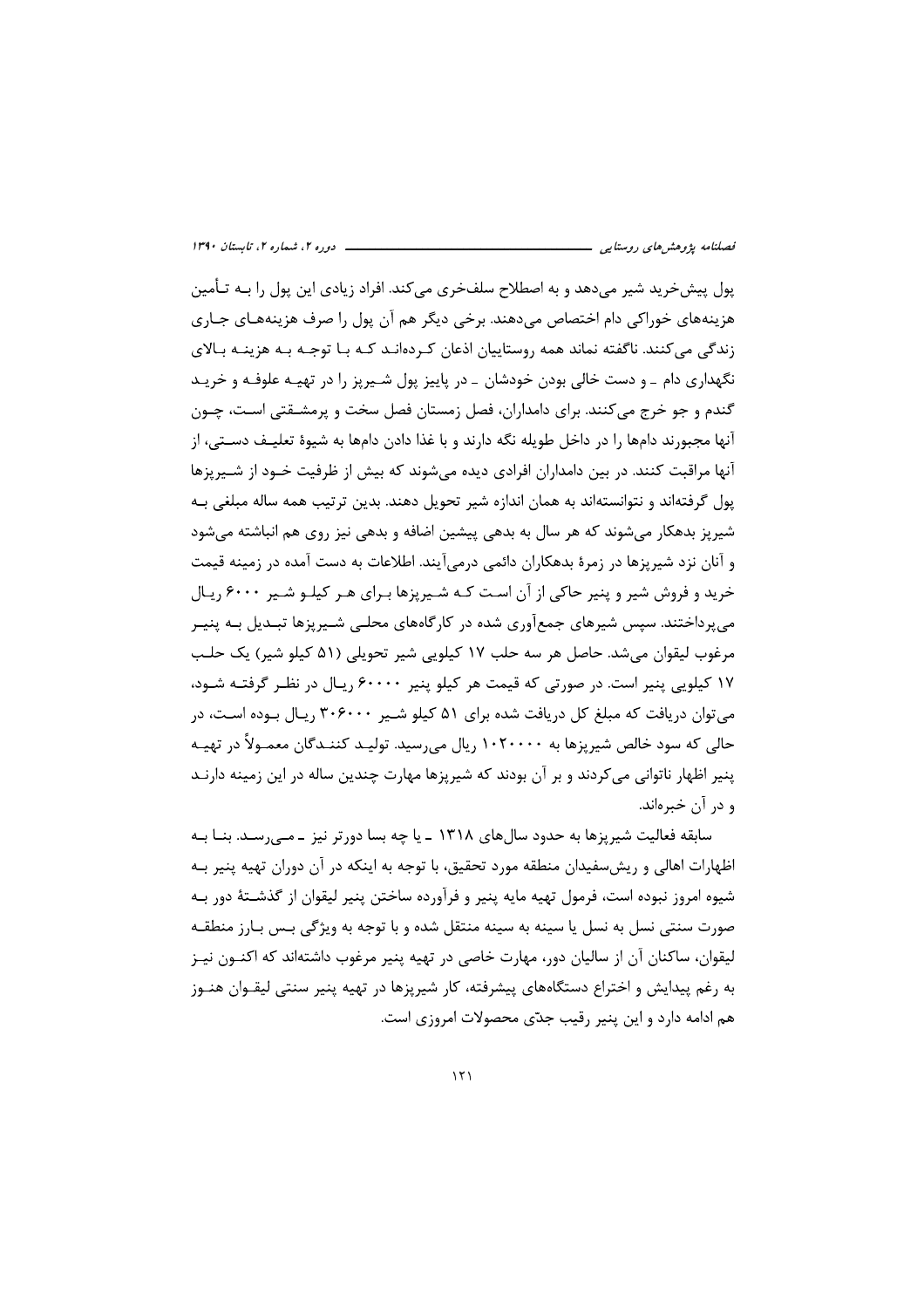یول پیشخرید شیر می۵هد و به اصطلاح سلفخری می کند. افراد زیادی این پول را بــه تـأمین هزینههای خوراکی دام اختصاص می۵هند. برخی دیگر هم آن پول را صرف هزینههـای جـاری زندگی میکنند. ناگفته نماند همه روستاییان اذعان کردهانـد کـه بـا توجـه بـه هزینـه بـالای نگهداری دام ـ و دست خالی بودن خودشان ـ در پاییز پول شـیرپز را در تهیـه علوفـه و خریـد گندم و جو خرج می کنند. برای دامداران، فصل زمستان فصل سخت و پرمشـقتی اسـت، چـون آنها مجبورند دامها را در داخل طویله نگه دارند و با غذا دادن دامها به شیوهٔ تعلیـف دســتی، از آنها مراقبت کنند. در بین دامداران افرادی دیده می شوند که بیش از ظرفیت خــود از شــیریزها يول گرفتهاند و نتوانستهاند به همان اندازه شير تحويل دهند. بدين ترتيب همه ساله مبلغي بـه شیریز بدهکار می شوند که هر سال به بدهی پیشین اضافه و بدهی نیز روی هم انباشته می شود و آنان نزد شیریزها در زمرهٔ بدهکاران دائمی درمی[یند. اطلاعات به دست آمده در زمینه قیمت خريد و فروش شير و پنير حاكي از آن است كـه شـيريزها بـراي هـر كيلـو شـير ۶۰۰۰ ريـال می پرداختند. سپس شیرهای جمعآوری شده در کارگاههای محلبی شـیریزها تبـدیل بـه پنیـر مرغوب ليقوان مي شد. حاصل هر سه حلب ١٧ كيلويي شير تحويلي (٥١ كيلو شير) يك حلب ۱۷ کیلویی پنیر است. در صورتی که قیمت هر کیلو پنیر ۶۰۰۰۰ ریـال در نظـر گرفتـه شـود، می توان دریافت که مبلغ کل دریافت شده برای ۵۱ کیلو شـیر ۳۰۶۰۰۰ ریـال بـوده اسـت، در حالي كه سود خالص شيريزها به ۱۰۲۰۰۰۰ , پال مي,رسيد. توليــد كننــدگان معمــولاً در تهيــه ینیر اظهار ناتوانی می کردند و بر آن بودند که شیریزها مهارت چندین ساله در این زمینه دارنـد و در آن خبرەاند.

سابقه فعالیت شیریزها به حدود سال های ۱۳۱۸ ـ یا چه بسا دورتر نیز ـ مـی٫سـد. بنــا بــه اظهارات اهالی و ریش سفیدان منطقه مورد تحقیق، با توجه به اینکه در آن دوران تهیه پنیر بـه شیوه امروز نبوده است، فرمول تهیه مایه پنیر و فرآورده ساختن پنیر لیقوان از گذشــتهٔ دور بـه صورت سنتی نسل به نسل یا سینه به سینه منتقل شده و با توجه به ویژگی بس بـارز منطقـه لیقوان، ساکنان آن از سالیان دور، مهارت خاصی در تهیه پنیر مرغوب داشتهاند که اکنــون نیــز به رغم پیدایش و اختراع دستگاههای پیشرفته، کار شیرپزها در تهیه پنیر سنتی لیقـوان هنـوز هم ادامه دارد و این پنیر رقیب جدّی محصولات امروزی است.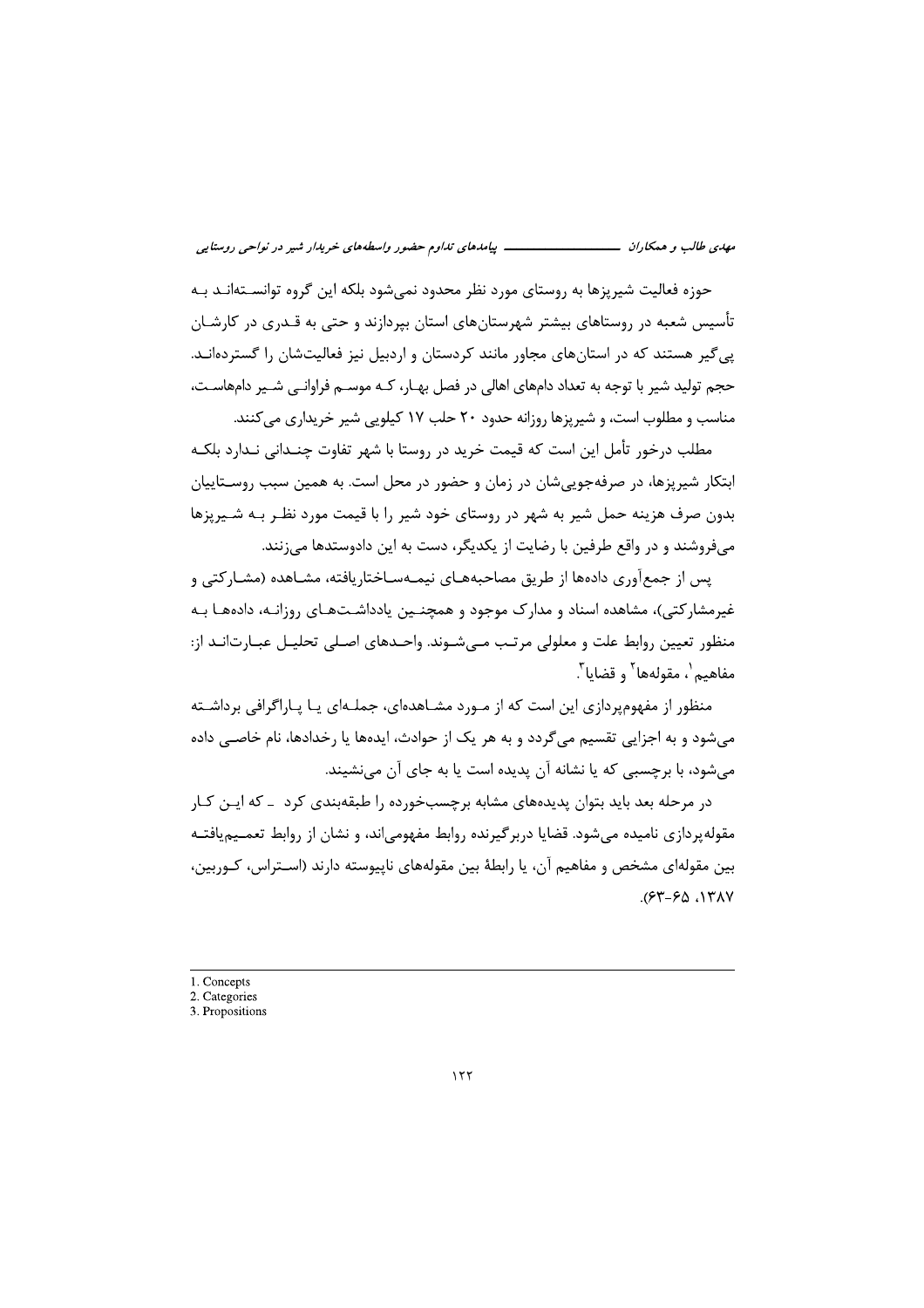حوزه فعالیت شیریزها به روستای مورد نظر محدود نمی شود بلکه این گروه توانســتهانــد بــه تأسیس شعبه در روستاهای بیشتر شهرستانهای استان بیردازند و حتی به قـدری در کارشـان پی گیر هستند که در استانهای مجاور مانند کردستان و اردبیل نیز فعالیتشان را گستردهانـد. حجم تولید شیر با توجه به تعداد دامهای اهالی در فصل بهـار، کـه موســم فراوانــی شــیر دامهاسـت، مناسب و مطلوب است، و شیریزها روزانه حدود ۲۰ حلب ۱۷ کیلویی شیر خریداری می کنند.

مطلب درخور تأمل این است که قیمت خرید در روستا با شهر تفاوت چنـدانی نـدارد بلکـه ابتکار شیریزها، در صرفهجویی شان در زمان و حضور در محل است. به همین سبب روســتاییان بدون صرف هزینه حمل شیر به شهر در روستای خود شیر را با قیمت مورد نظـر بـه شـیرپزها میفروشند و در واقع طرفین با رضایت از یکدیگر، دست به این دادوستدها می;نند.

یس از جمعآوری دادهها از طریق مصاحبههـای نیمـهسـاختاریافته، مشـاهده (مشـارکتی و غیرمشارکتی)، مشاهده اسناد و مدارک موجود و همچنـین یادداشـتهـای روزانـه، دادههـا بـه منظور تعیین روابط علت و معلولی مرتب مے شـوند. واحـدهای اصـلی تحلیـل عبـارت|نـد از: مفاهيم'، مقولهها<sup>٢</sup> و قضايا<sup>٣</sup>.

منظور از مفهومیردازی این است که از مـورد مشـاهدهای، جملـهای پـا پـاراگرافی برداشـته میشود و به اجزایی تقسیم میگردد و به هر یک از حوادث، ایدهها یا رخدادها، نام خاصـی داده میشود، با برچسبی که یا نشانه آن پدیده است یا به جای آن مینشیند.

در مرحله بعد باید بتوان پدیدههای مشابه برچسبخورده را طبقهبندی کرد – که ایـن کـار مقوله پردازی نامیده می شود. قضایا در بر گیرنده روابط مفهومی اند، و نشان از روابط تعمــیم یافتــه بین مقولهای مشخص و مفاهیم آن، یا رابطهٔ بین مقولههای ناپیوسته دارند (اسـتراس، کـوربین،  $(57 - 50.17)$ 

1. Concepts

<sup>2.</sup> Categories

<sup>3.</sup> Propositions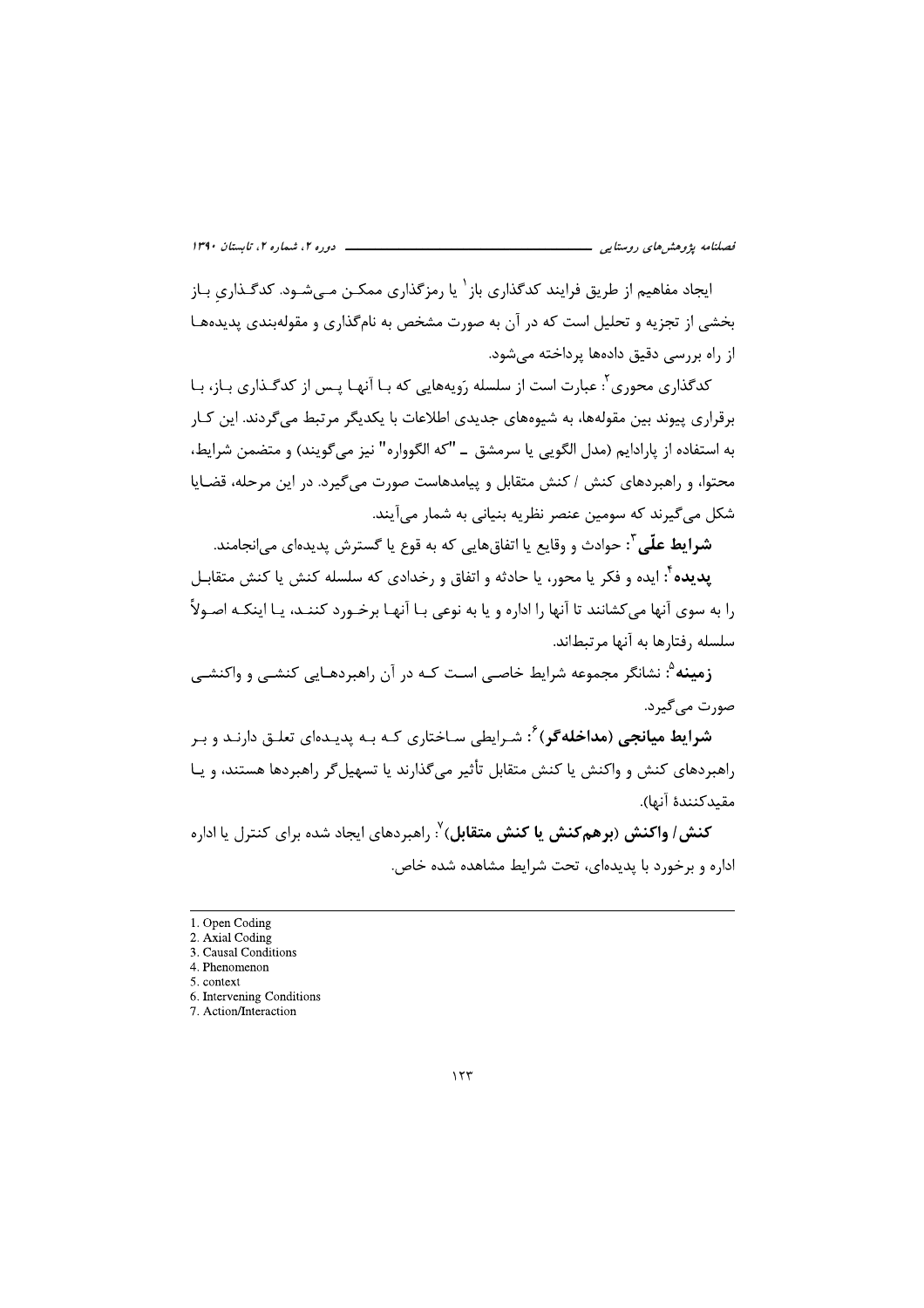ایجاد مفاهیم از طریق فرایند کدگذاری باز<sup>۱</sup> یا رمزگذاری ممکــن مــیشــود. کدگــذاری بــاز بخشی از تجزیه و تحلیل است که در آن به صورت مشخص به نامگذاری و مقولهبندی پدیدههـا از راه بررسی دقیق دادهها پرداخته می شود.

کدگذاری محوری ٔ: عبارت است از سلسله رَویههایی که بـا آنهـا پـس از کدگـذاری بـاز، بـا برقراري پيوند بين مقولهها، به شيوههاي جديدي اطلاعات با يكديگر مرتبط مي گردند. اين كـار به استفاده از پارادایم (مدل الگویی یا سرمشق \_ "که الگوواره" نیز می گویند) و متضمن شرایط، محتوا، و راهبردهای کنش / کنش متقابل و پیامدهاست صورت می گیرد. در این مرحله، قضایا شکل می گیرند که سومین عنصر نظریه بنیانی به شمار می آیند.

**شرایط علّٰی** ؒ: حوادث و وقایع یا اتفاق هایی که به قوع یا گسترش پدیدهای می|نجامند.

**یدیده ٔ:** ایده و فکر یا محور، یا حادثه و اتفاق و رخدادی که سلسله کنش یا کنش متقابـل را به سوی آنها می کشانند تا آنها را اداره و یا به نوعی بـا آنهـا برخـورد کننـد، یـا اینکـه اصـولاً ِ سلسله ,فتا,ها به آنها مرتبطاند.

**زمینه**<sup>4</sup>: نشانگر مجموعه شرایط خاصے است کـه در آن راهبردهـایی کنشـی و واکنشـی صورت مے گیرد.

**شرایط میانجی (مداخله گر**)<sup>۲</sup>: شـرایطی سـاختاری کـه بـه پدیـدهای تعلـق دارنـد و بـر راهبردهای کنش و واکنش یا کنش متقابل تأثیر میگذارند یا تسهیلگر راهبردها هستند، و یـا مقىدكنندة آنها).

**کنش/ واکنش (برهمکنش یا کنش متقابل**) <sup>۷</sup>. راهبردهای ایجاد شده برای کنترل یا اداره اداره و برخورد با پدیدهای، تحت شرایط مشاهده شده خاص.

<sup>1.</sup> Open Coding

<sup>2.</sup> Axial Coding

<sup>3.</sup> Causal Conditions 4. Phenomenon

<sup>5.</sup> context

<sup>6.</sup> Intervening Conditions 7. Action/Interaction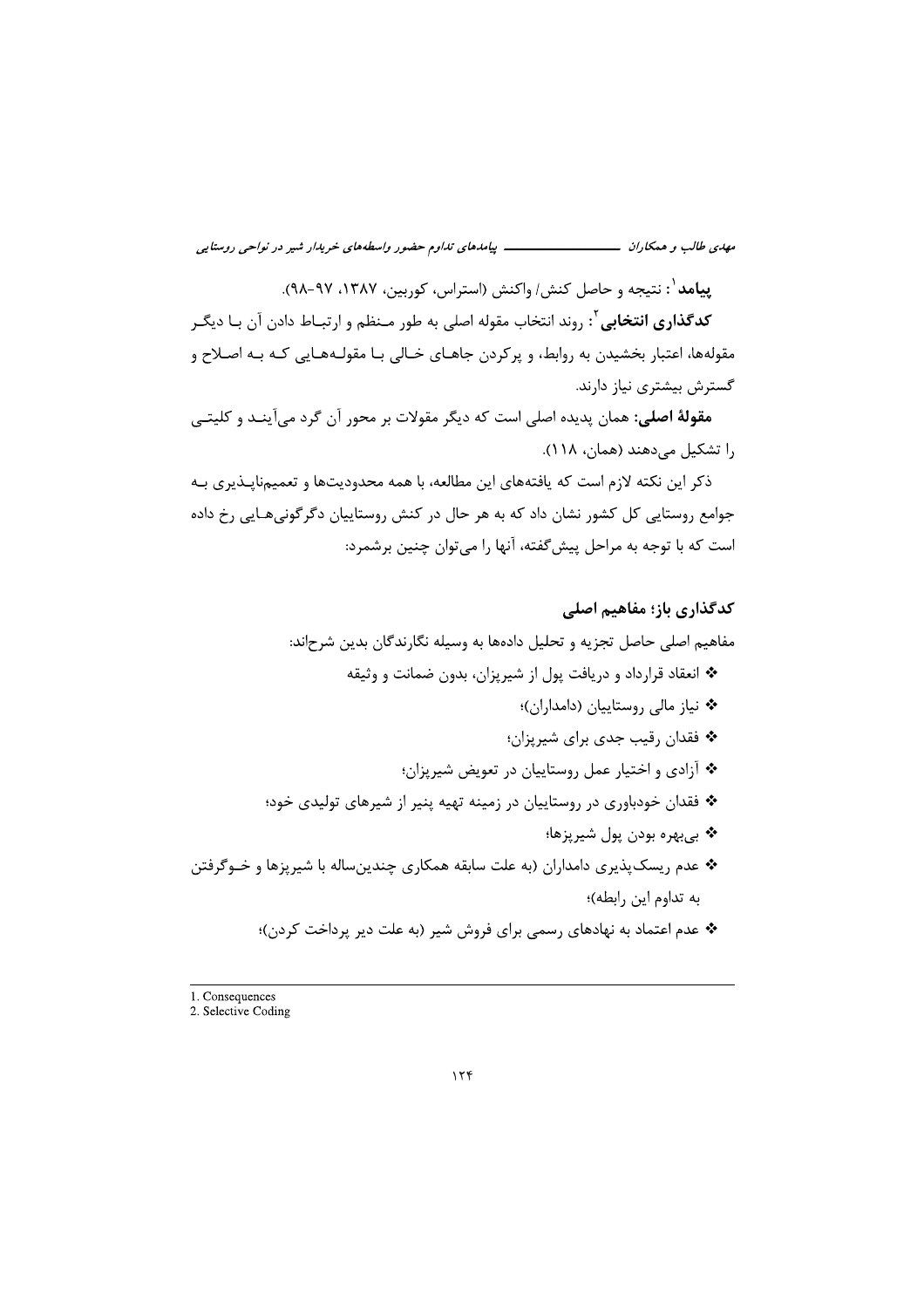ییامد <sup>۱</sup>: نتیجه و حاصل کنش/ واکنش (استراس، کوربین، ۱۳۸۷، ۹۷-۹۸).

**کدگذاری انتخابی**<sup>۲</sup>: روند انتخاب مقوله اصلی به طور مـنظم و ارتبـاط دادن آن بـا دیگـر مقولهها، اعتبار بخشیدن به روابط، و پرکردن جاهـای خـالی بـا مقولـههـایی کـه بـه اصـلاح و گسترش بیشتری نیاز دارند.

**مقولهٔ اصلی:** همان پدیده اصلی است که دیگر مقولات بر محور آن گرد می آینـد و کلیتـی را تشکیل می دهند (همان، ۱۱۸).

ذکر این نکته لازم است که یافتههای این مطالعه، با همه محدودیتها و تعمیمناپـذیری بـه جوامع روستایی کل کشور نشان داد که به هر حال در کنش روستاییان دگرگونیهـایی رخ داده است که با توجه به مراحل پیشگفته، آنها را می توان چنین برشمرد:

#### كدگذاري باز؛ مفاهيم اصلي

# مفاهیم اصلی حاصل تجزیه و تحلیل دادهها به وسیله نگارندگان بدین شرحاند: \* انعقاد قرارداد و دریافت یول از شیریزان، بدون ضمانت و وثیقه \* نیاز مالی روستاییان (دامداران)؛ \* فقدان رقيب جدي براي شيرپزان؛ \* آزادي و اختيار عمل روستاييان در تعويض شيرپزان؛ \* فقدان خودباوری در روستاییان در زمینه تهیه پنیر از شیرهای تولیدی خود؛ \* بيبهره بودن پول شيرپزها؛ \* عدم ريسک پذيري دامداران (به علت سابقه همکاري چندين ساله با شيريزها و خـوگرفتن به تداوم این رابطه)؛ \* عدم اعتماد به نهادهای رسمی برای فروش شیر (به علت دیر پرداخت کردن)؛

<sup>1.</sup> Consequences

<sup>2.</sup> Selective Coding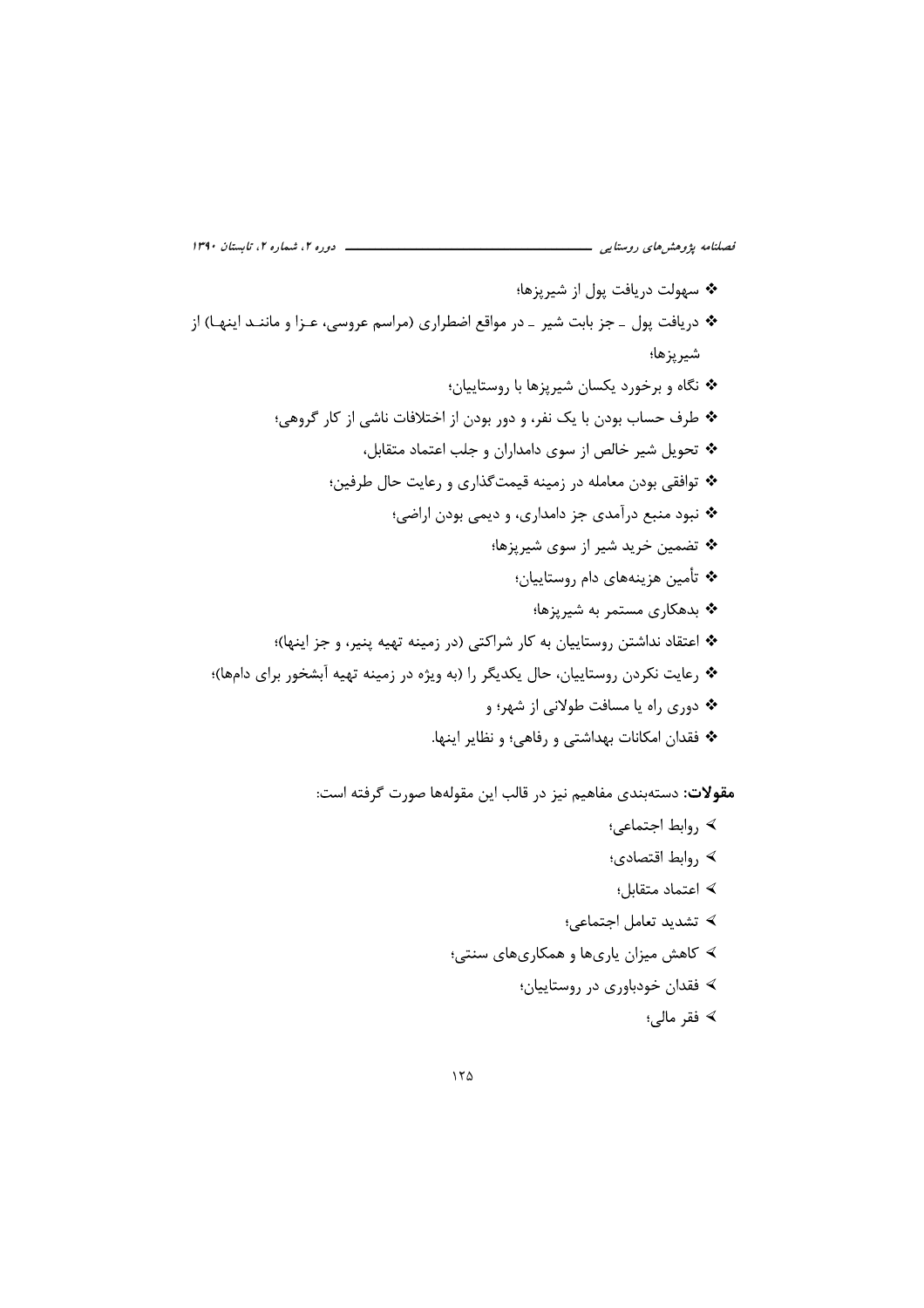ــــ دوره ۲، شماره ۲، تابستان ۱۳۹۰ فصلنامه پژوهشرهای روستایی \_ \* سهولت دريافت يول از شيريزها؛ \* دریافت پول ـ جز بابت شیر ـ در مواقع اضطراری (مراسم عروسی، عـزا و ماننـد اینهـا) از شير پزها؛ \* نگاه و برخورد یکسان شیریزها با روستاییان؛ \* طرف حساب بودن با یک نفر، و دور بودن از اختلافات ناشی از کار گروهی؛ \* تحویل شیر خالص از سوی دامداران و جلب اعتماد متقابل، \* توافقی بودن معامله در زمینه قیمتگذاری و رعایت حال طرفین؛ \* نبود منبع درآمدی جز دامداری، و دیمی بودن اراضی؛ ❖ تضمین خرید شیر از سوی شیرپزها؛ \* تأمين هزينههاي دام روستاييان؛ \* بدهکاری مستمر به شیریزها؛ \* اعتقاد نداشتن روستاييان به كار شراكتي (در زمينه تهيه ينير، و جز اينها)؛ \*• رعايت نكردن روستاييان، حال يكديگر را (به ويژه در زمينه تهيه آبشخور براي دامها)؛ \* دوری راه یا مسافت طولانی از شهر؛ و \* فقدان امكانات بهداشتي و رفاهي؛ و نظاير اينها.

**مقولات:** دستهبندی مفاهیم نیز در قالب این مقولهها صورت گرفته است:

﴾, وابط اجتماعي؛ ∢ ,وابط اقتصادي؛ ∢ اعتماد متقابل؛ ∢ تشديد تعامل اجتماعي؛ ≻ کاهش میزان پاریها و همکاریهای سنتی؛ ∢ فقدان خودباوري در روستاييان؛ ∢ فقر مالي؛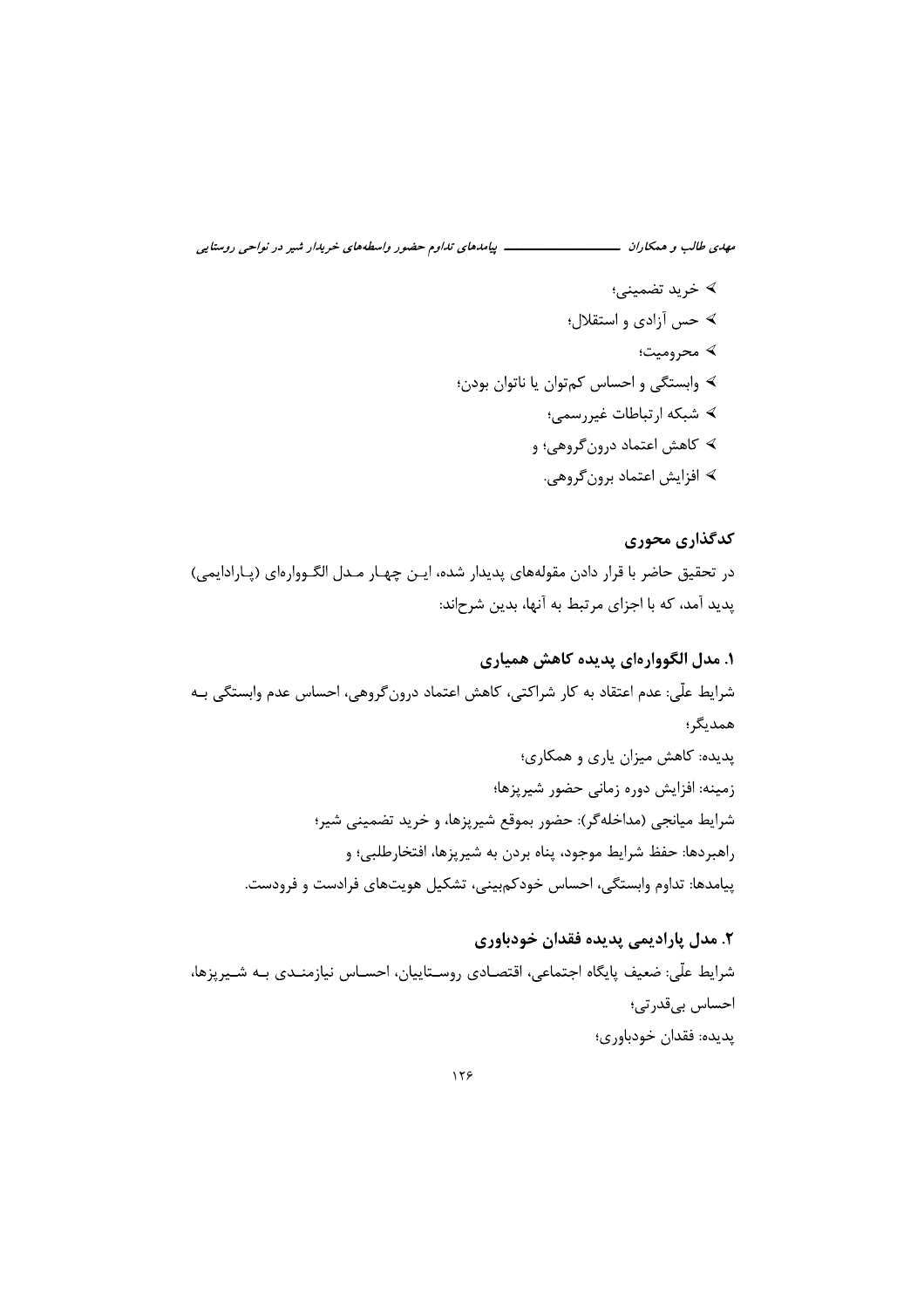∢ خرید تضمینی؛ ≻ حس آزادی و استقلال؛ ≻ محرومیت؛ ﴾ وابستگي و احساس كمتوان يا ناتوان بودن؛ ≻ شبکه ارتباطات غیررسمی؛ ≻ کاهش اعتماد درون گروهي؛ و ∢ افزایش اعتماد برون گروهی.

كدگذاري محوري در تحقیق حاضر با قرار دادن مقولههای پدیدار شده، ایـن چهـار مـدل الگـووارهای (پـارادایمی) یدید آمد، که با اجزای مرتبط به آنها، بدین شرحاند:

۱. مدل الگووارەای پدیده کاهش همیاری شرايط علّى: عدم اعتقاد به كار شراكتي، كاهش اعتماد درون گروهي، احساس عدم وابستگي بـه همديگر؛ یدیده: کاهش میزان یاری و همکاری؛ زمینه: افزایش دوره زمانی حضور شیرپزها؛ شرايط ميانجي (مداخلهگر): حضور بموقع شيرپزها، و خريد تضميني شير؛ راهبردها: حفظ شرایط موجود، پناه بردن به شیریزها، افتخارطلبی؛ و ييامدها: تداوم وابستگي، احساس خودكمبيني، تشكيل هويتهاي فرادست و فرودست.

٢. مدل پاراديمي پديده فقدان خودباوري شرايط علَّى: ضعيف پايگاه اجتماعي، اقتصـادي روسـتاييان، احسـاس نيازمنـدي بـه شـيرپزها، احساس بىقدرتى؛ پديده: فقدان خودباوري؛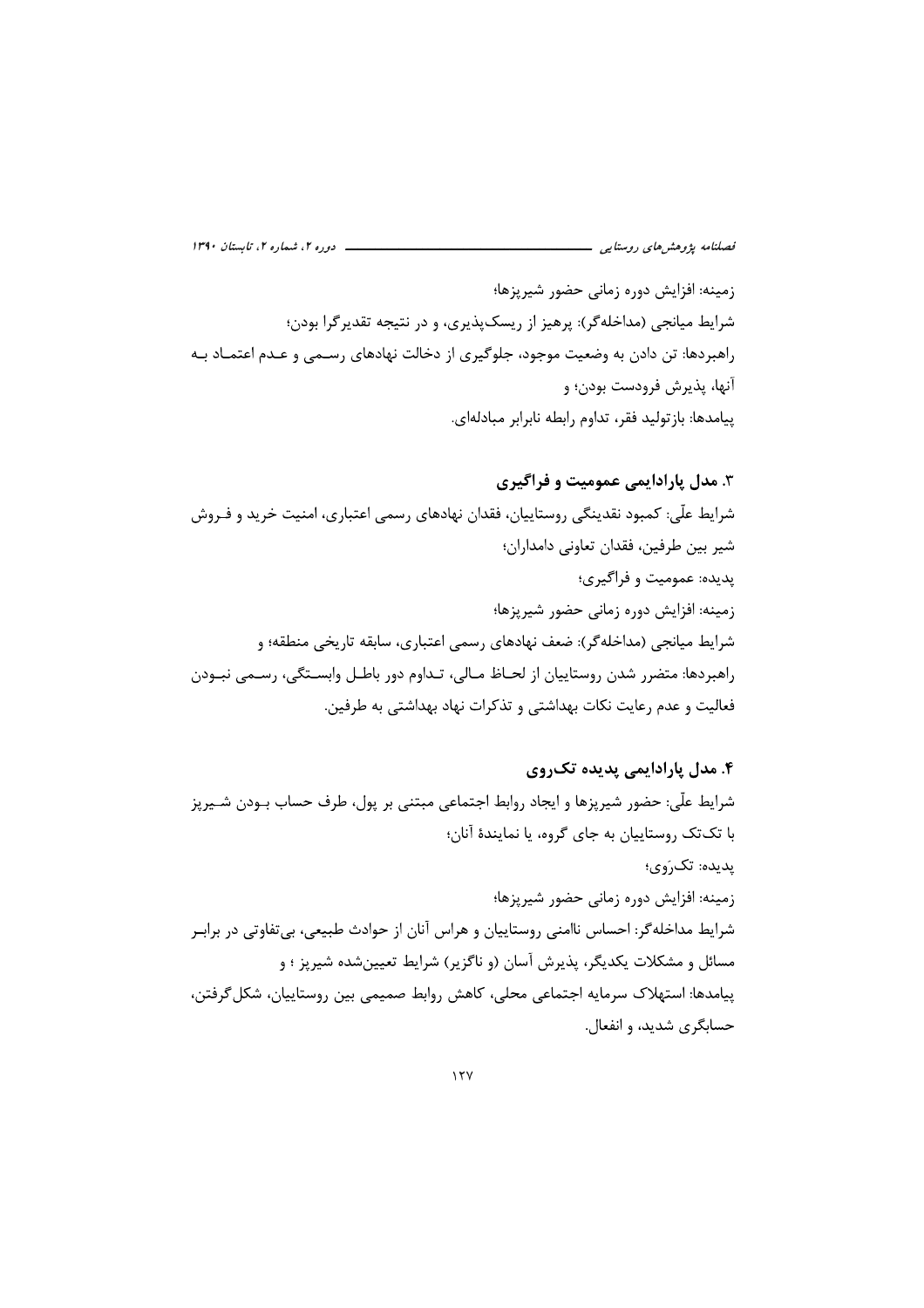بزها؛<br>پزها؛<br>ریسکپذیری، و در نتیجه تقدیرگرا بودن؛<br>، جلوگیری از دخالت نهادهای رسـمی و عـدم اعتمــاد بــه *فصلنامه پژوهشهای روستایی*<br>زمینه: افزایش دوره زمانی حضور شیرپزها؛<br>شرایط میانجی (مداخلهگر): پرهیز از ریسک پذیری، و در نتیجه تقدیرگرا بودن؛<br>راهبردها: تن دادن به وضعیت موجود، جلوگیری از دخالت نهادهای رسـمی و عـدم اعتمــاد بـ *نصلنامه پژوهشهای روستایی*<br>زمینه: افزایش دوره زمانی حضور شیرپزها؛<br>شرایط میانجی (مداخلهگر): پرهیز از ریسکپذیری، و در ن<br>راهبردها: تن دادن به وضعیت موجود، جلوگیری از دخالت<br>آنها، پذیرش فرودست بودن؛ و *فصلنامه پژوهش های روستایی*<br>زمینه: افزایش دوره زمانی حضور شیرپزها؛<br>شرایط میانجی (مداخلهگر): پرهیز از ریسکا<br>راهبردها: تن دادن به وضعیت موجود، جلو<br>آنها، یذیرش فرودست بودن؛ و *فصلنامه پژوهشهای روستایی*<br>زمینه: افزایش دوره زمانی حضور شیرپزها؛<br>شرایط میانجی (مداخلهگر): پرهیز از ریسکپذ<sub>:</sub><br>راهبردها: تن دادن به وضعیت موجود، جلوگیر:<br>آنها، پذیرش فرودست بودن؛ و *فصلنامه پزوهشرهای روستایی*<br>زمینه: افزایش دوره زمانی حضور شیر پزها؛<br>شرایط میانجی (مداخلهگر): پرهیز از ریسک.پذیری، و در نتیجه تقدیرگرا بودن؛<br>راهبردها: تن دادن به وضعیت موجود، جلوگیری از دخالت نهادهای رسـمی و عـدم اعتمــاد

راهير حالات التي تعالى التي اين الرد الرد الرد التي التي تصريح الرد التي تسابق التي التي التي تصريح التشاه الت<br>وأهم دهاء تن دادن به وضيت موجود، جلو كبرى الرد التي تصريح التي تصريح التي تصريح التي تصريح التشاه التي تصريح ا

رسیدسریس بر در زمینی سرز استاد سرز استر استر استر استفاقها و استحق منطقها و است و از این استفاقها و استفاقها و<br>شرایط میانجی (مداخله گر): ضعف نهادهای رسمی اعتباری، سابقه تاریخی منطقها و است و استفاقها و استفاقها و استفاقها معداد و سه رو محمد بهای استان الله استان و سالو استان بهای استان به سرمان<br>6. معال **پارادایمی پدیده تک روی**<br>با تک تک روستاییان به جای گروه، یا نمایندهٔ آنان؛<br>با تک تک روستاییان به جای گروه، یا نمایندهٔ آنان؛<br>زیده، تک روستا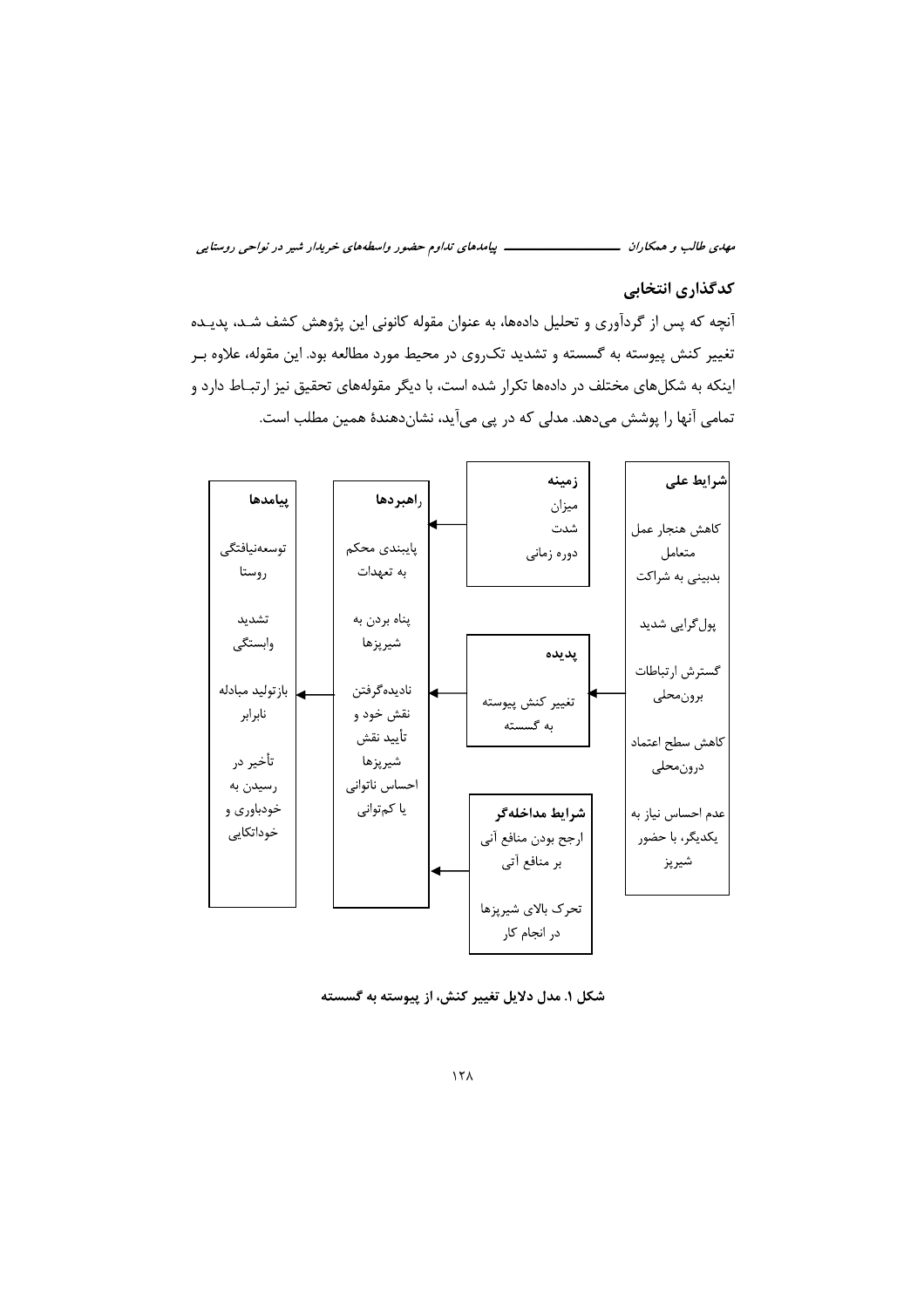#### كدگذاري انتخابي

آنچه که پس از گردآوری و تحلیل دادهها، به عنوان مقوله کانونی این پژوهش کشف شـد، پدیـده تغییر کنش پیوسته به گسسته و تشدید تکروی در محیط مورد مطالعه بود. این مقوله، علاوه بـر اینکه به شکلهای مختلف در دادهها تکرار شده است، با دیگر مقولههای تحقیق نیز ارتبـاط دارد و تمامی آنها را پوشش میدهد. مدلی که در پی میآید، نشاندهندهٔ همین مطلب است.



شکل ۱. مدل دلایل تغییر کنش، از پیوسته به گسسته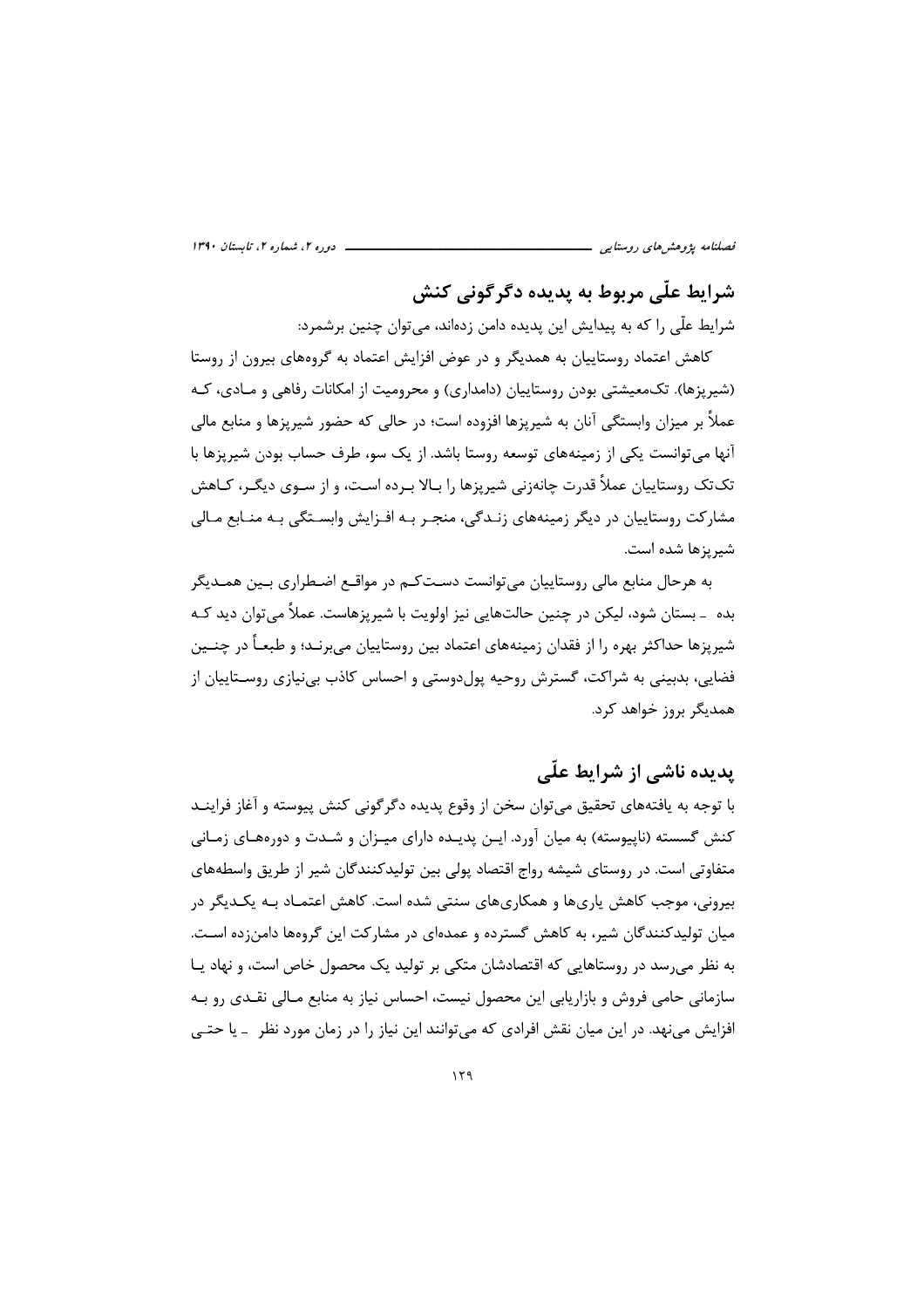\_ دوره ۲، شماره ۲، تابستان ۱۳۹۰ فصلنامه پژوهشهای روستایی -

# شرابط علّی مربوط به پدیده دگرگونی کنش

شرایط علّی را که به پیدایش این پدیده دامن زدهاند، میتوان چنین برشمرد:

کاهش اعتماد روستاییان به همدیگر و در عوض افزایش اعتماد به گروههای بیرون از روستا (شیرپزها). تک،معیشتی بودن روستاییان (دامداری) و محرومیت از امکانات رفاهی و مـادی، کـه عملاً بر میزان وابستگی آنان به شیریزها افزوده است؛ در حالی که حضور شیریزها و منابع مالی آنها مے توانست یکی از زمینههای توسعه روستا باشد. از یک سو، طرف حساب بودن شیریزها با تک تک , وستاییان عملاً قدرت چانهزنی شیریزها ,ا بـالا بـرده اسـت، و از سـوی دیگـر، کـاهش مشارکت روستاییان در دیگر زمینههای زنـدگی، منجـر بـه افـزایش وابسـتگی بـه منـابع مـالی شيريزها شده است.

به هرحال منابع مالی روستاییان می¤وانست دسـتکـم در مواقـع اضـطراری بـین همـدیگر بده ۔ بستان شود، لیکن در چنین حالتھایی نیز اولویت با شیریزهاست. عملاً می توان دید کـه شیریزها حداکثر بهره را از فقدان زمینههای اعتماد بین روستاییان می,برنـد؛ و طبعـاً در چنـین فضایی، بدبینی به شراکت، گسترش روحیه پولدوستی و احساس کاذب بی نیازی روسـتاییان از همدیگر بروز خواهد کرد.

# یدیده ناشی از شرایط علّی

با توجه به یافتههای تحقیق می توان سخن از وقوع پدیده دگر گونی کنش پیوسته و آغاز فراینــد کنش گسسته (ناپیوسته) به میان آورد. ایـن پدیـده دارای میـزان و شـدت و دورههـای زمـانی متفاوتی است. در روستای شیشه رواج اقتصاد پولی بین تولیدکنندگان شیر از طریق واسطههای بیرونی، موجب کاهش یاریها و همکاریهای سنتی شده است. کاهش اعتمـاد بـه یکـدیگر در میان تولیدکنندگان شیر، به کاهش گسترده و عمدهای در مشارکت این گروهها دامن;ده اسـت. به نظر می رسد در روستاهایی که اقتصادشان متکی بر تولید یک محصول خاص است، و نهاد یـا سازمانی حامی فروش و بازاریابی این محصول نیست، احساس نیاز به منابع مـالی نقـدی رو بـه افزایش می;نهد. در این میان نقش افرادی که می;توانند این نیاز را در زمان مورد نظر – یا حتـی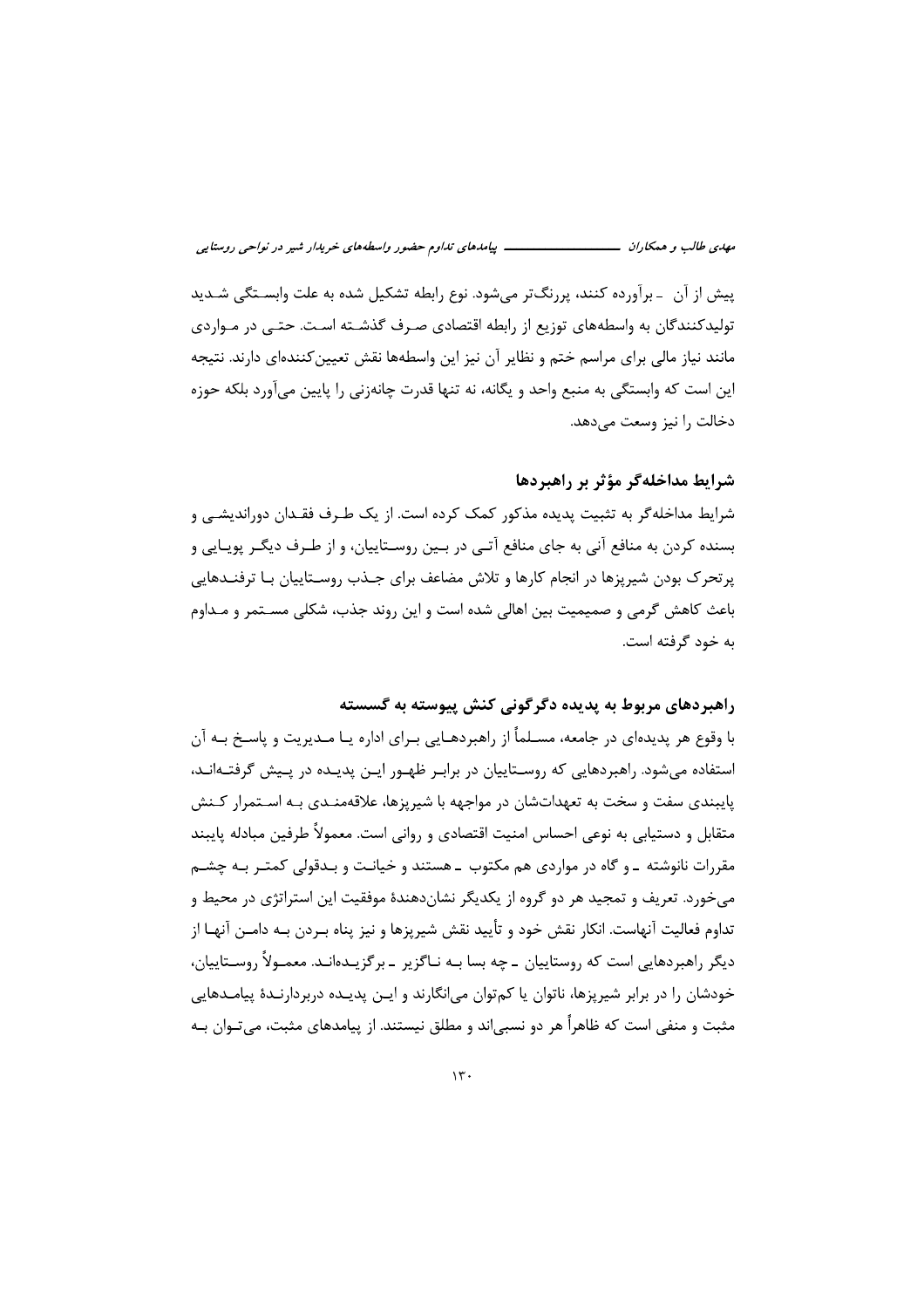پیش از آن ـ برآورده کنند، پررنگتر میشود. نوع رابطه تشکیل شده به علت وابســتگی شــدید تولیدکنندگان به واسطههای توزیع از رابطه اقتصادی صـرف گذشـته اسـت. حتـی در مـواردی مانند نیاز مالی برای مراسم ختم و نظایر آن نیز این واسطهها نقش تعیین کنندهای دارند. نتیجه این است که وابستگی به منبع واحد و یگانه، نه تنها قدرت چانهزنی را پایین میآورد بلکه حوزه دخالت را نیز وسعت می دهد.

#### شرايط مداخلهگر مؤثر بر راهبردها

شرایط مداخله گر به تثبیت پدیده مذکور کمک کرده است. از یک طـرف فقـدان دوراندیشـی و بسنده کردن به منافع آنی به جای منافع آتـی در بـین روسـتاییان، و از طـرف دیگـر پویـایی و پرتحرک بودن شیریزها در انجام کارها و تلاش مضاعف برای جــذب روســتاییان بــا ترفنــدهایی باعث کاهش گرمی و صمیمیت بین اهالی شده است و این روند جذب، شکلی مسـتمر و مـداوم به خود گرفته است.

## راهبردهای مربوط به پدیده دگر گونی کنش پیوسته به گسسته

با وقوع هر پدیدهای در جامعه، مسـلمأ از راهبردهـایی بـرای اداره یـا مـدیریت و پاسـخ بـه آن استفاده میشود. راهبردهایی که روسـتاییان در برابـر ظهـور ایـن پدیـده در پـیش گرفتـهانـد، پایبندی سفت و سخت به تعهداتشان در مواجهه با شیریزها، علاقهمنـدی بـه اسـتمرار کـنش متقابل و دستیابی به نوعی احساس امنیت اقتصادی و روانی است. معمولاً طرفین مبادله پایبند مقررات نانوشته ـ و گاه در مواردی هم مکتوب ـ هستند و خیانـت و بـدقولی کمتـر بـه چشـم می خورد. تعریف و تمجید هر دو گروه از یکدیگر نشاندهندهٔ موفقیت این استراتژی در محیط و تداوم فعالیت آنهاست. انکار نقش خود و تأیید نقش شیریزها و نیز پناه بـردن بـه دامــن آنهـا از دیگر راهبردهایی است که روستاییان ــ چه بسا بـه نـاگزیر ــ برگزیـدەانـد. معمـولاً روســتاییان، خودشان را در برابر شیریزها، ناتوان یا کمتوان می|نگارند و ایـن پدیـده دربردارنـدهٔ پیامـدهایی مثبت و منفی است که ظاهراً هر دو نسبی|ند و مطلق نیستند. از پیامدهای مثبت، میتـوان بـه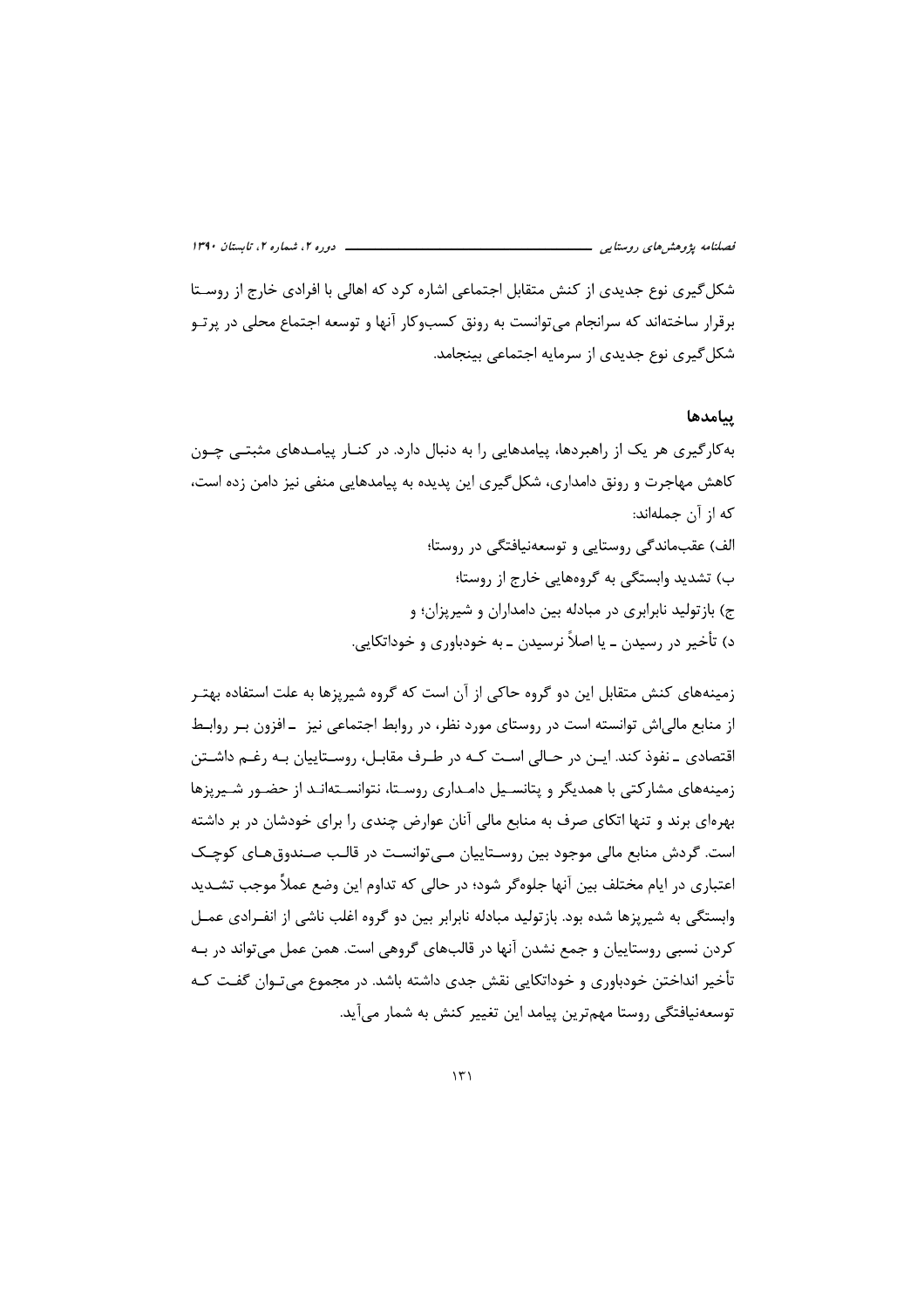شکل گیری نوع جدیدی از کنش متقابل اجتماعی اشاره کرد که اهالی با افرادی خارج از روسـتا برقرار ساختهاند که سرانجام می توانست به رونق کسبوکار آنها و توسعه اجتماع محلی در پرتـو شکل گیری نوع جدیدی از سرمایه اجتماعی بینجامد.

#### ينامدها

به کار گیری هر یک از راهبردها، پیامدهایی را به دنبال دارد. در کنــار پیامــدهای مثبتــی چــون کاهش مهاجرت و رونق دامداری، شکل گیری این پدیده به پیامدهایی منفی نیز دامن زده است، كه از آن جملهاند:

الف) عقب ماندگی روستایی و توسعه نیافتگی در روستا؛ ب) تشدید وابستگی به گروههایی خارج از روستا؛ ج) باز تولید نابرابری در مبادله بین دامداران و شیریزان؛ و د) تأخير در رسيدن ــ يا اصلاً نرسيدن ــ به خودباوري و خوداتكايي.

زمینههای کنش متقابل این دو گروه حاکی از آن است که گروه شیریزها به علت استفاده بهتـر از منابع مالی اش توانسته است در روستای مورد نظر، در روابط اجتماعی نیز – افزون بـر روابـط اقتصادی ۔نفوذ کند. ایـن در حـالی اسـت کـه در طـرف مقابـل، روسـتاییان بـه رغـم داشـتن زمینههای مشارکتی با همدیگر و پتانسیل دامـداری روسـتا، نتوانسـتهانـد از حضـور شـیرپزها بهرهای برند و تنها اتکای صرف به منابع مالی آنان عوارض چندی را برای خودشان در بر داشته است. گردش منابع مالی موجود بین روسـتاییان مـیتوانسـت در قالـب صـندوق هـای کوچـک اعتباري در ايام مختلف بين آنها جلوه گر شود؛ در حالي كه تداوم اين وضع عملاً موجب تشــديد وابستگی به شیریزها شده بود. بازتولید مبادله نابرابر بین دو گروه اغلب ناشی از انفـرادی عمـل کردن نسبي روستاييان و جمع نشدن آنها در قالبهاي گروهي است. همن عمل مي تواند در بـه تأخیر انداختن خودباوری و خوداتکایی نقش جدی داشته باشد. در مجموع می تـوان گفـت کـه توسعهنیافتگی روستا مهمترین پیامد این تغییر کنش به شمار میآید.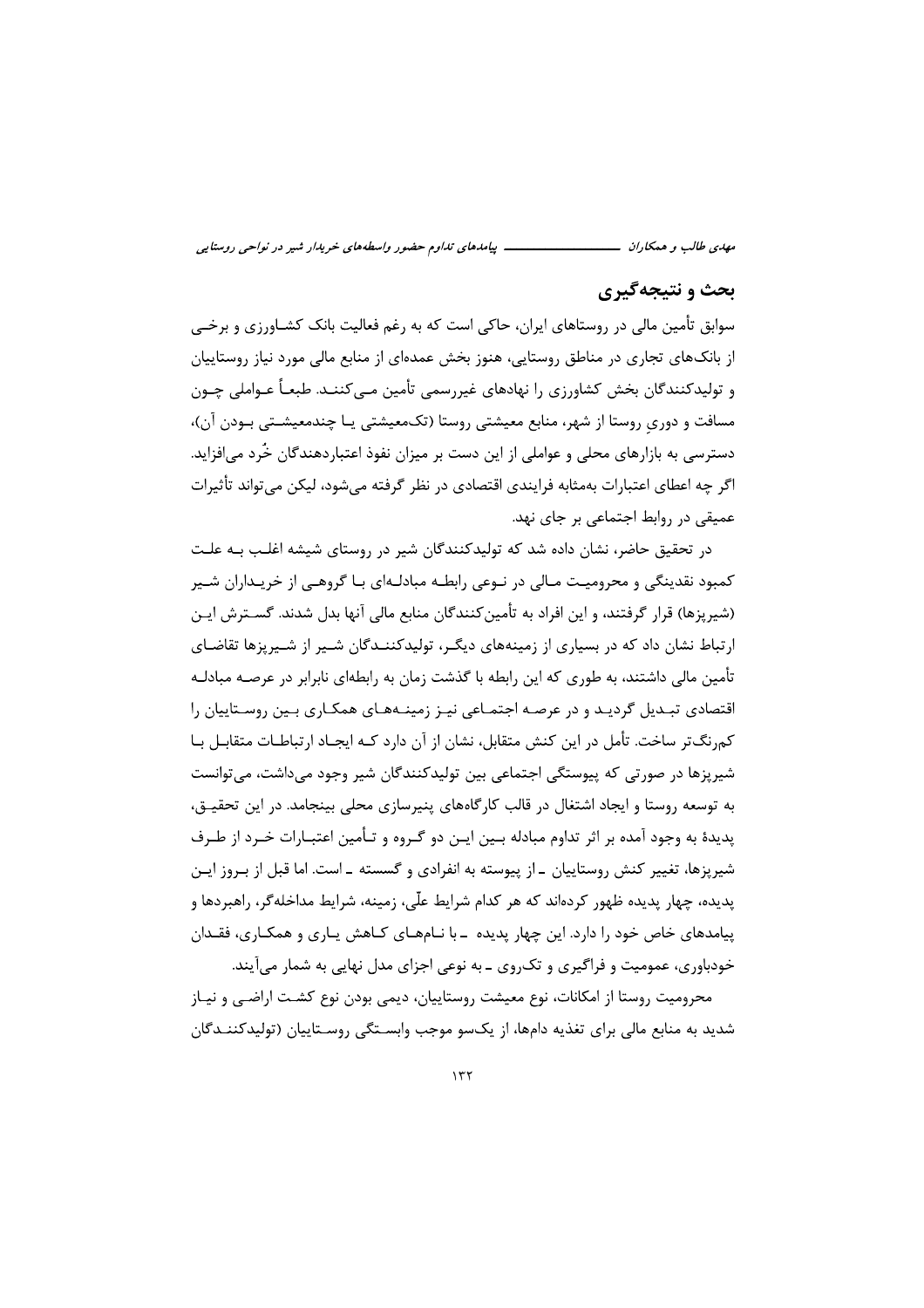*ضور واسطههای خریدار شیر در نواحی روستایی*<br>به رغم فعالیت بانک کشــاورزی و برخــی<br>بده ای از منابع مالی مورد نیاز روستاییان<br>تأمین مــ کننــد. طبعـاً عــواملــ حــون *ن تداوم حضور واسطههای خریدار شیر در نواحی روستایی*<br>ست که به رغم فعالیت بانک کشــاورزی و برخــی<br>خش عمدهای از منابع مالی مورد نیاز روستاییان<br>درسمــ تأمین مـــ کننــد. طبعـاً عــهاملــ حــمن *پیامدهای تداوم حضور واسطههای خریدار شیر در نواحی روستایی*<br>اکی است که به رغم فعالیت بانک کشــاورزی و برخــی<br>منوز بخش عمدهای از منابع مالی مورد نیاز روستاییان<br>منوز بخش عمدهای از منابع مالی مورد نیاز روستاییان ب بی*امدهای تداوم حضور واسطههای خریدار شیر در نواحی روستایی*<br>نتاهای ایران، حاکی است که به رغم فعالیت بانک کشــاورزی و برخــی<br>طق روستایی، هنوز بخش عمدهای از منابع مالی مورد نیاز روستاییان<br>باوننی را نقادهای غیر سمی تأمین مـ م*هدی طالب و همکاران*<br>**بحث و نتیجه گیری**<br>ب**حث و نتیجه گیری**<br>از بانکهای تجاری در روستاهای ایران، حاکی است که به رغم فعالیت بانک کشـاورزی و برخـی<br>از بانکـهای تجاری در مناطق روستایی، هنوز بخش عمدهای از منابع مالی مورد نیاز ر م*هدی طالب و همکاران*<br>**بحث و نتیجه گیری**<br>سوابق تأمین مالی در روستاهای ایران، حاکی است<br>از بانکهای تجاری در مناطق روستایی، هنوز بخش<br>و تولیدکنندگان بخش کشاهرزی را نهادهای غبر *مهدی طالب و همکاران*<br>**بحث و نتیجه گیری**<br>سوابق تأمین مالی در روستاهای ایران، ح<br>از بانکهای تجاری در مناطق روستایی،<br>و تولیدکنندگان بخش کشاه، ی را نواده م*هدی طالب و همکاران*<br>**بحث و نتیجه گیری**<br>سوابق تأمین مالی در روستاهای ایران، حاکی است که به<br>از بانکحای تجاری در مناطق روستایی، هنوز بخش عمد<br>و تولیدکنندگان بخش کشاورزی را نهادهای غیررسمی<br>مسافت و دوریِ روستا از شهر، منابع م سوابق تأمین مالی در روستاهای ایران، حاکی است که به رغم فعالیت بانک کشــاورزی و برخـی<br>از بانکـهای تجاری در مناطق روستایی، هنوز بخش عمدهای از منابع مالی مورد نیاز روستاییان<br>و تولیدکنندگان بخش کشاورزی ,ا نهادهای غیر,سمی تأمی مسافت و دوریِ روستا از شهر، منابع معیشتی روستا (تکـمعیشتی یـا چندمعیشــتی بــودن آن)،<br>دسترسی به بازارهای محلی و عواملی از این دست بر میزان نفوذ اعتباردهندگان خُرد میافزاید.<br>اگر چه اعطای اعتبارات بهمثابه فرایندی اقتصادی در

عمیقی در روابط اجتماعی بر جای نهد.<br>در تحقیق حاضر، نشان داده شد که تولیدکنندگان شیر در روستای شیشه اغلـب بـه علـت<br>کمبود نقدینگی و محرومیـت مـالی در نـوعی رابطـه مبادلـهای بـا گروهـی از خریـداران شـیر (شیریزها) قرار گرفتند، و این افراد به تأمین کنندگان منابع مالی آنها بدل شدند. گســترش ایــن ارتباط نشان داد که در بسیاری از زمینههای دیگـر، تولیدکننــدگان شــیر از شــیرپزها تقاضـای<br>تأمین مالی داشتند، به طوری که این رابطه با گذشت زمان به رابطهای نابرابر در عرصـه مبادلـه<br>اقتصادی تبــدیل گردیــد و در عرصــه اجتمــ شیرپزها در صورتی که پیوستگی اجتماعی بین تولیدکنندگان شیر وجود میداشت، میتوانست<br>به توسعه روستا و ایجاد اشتغال در قالب کارگاههای پنیرسازی محلی بینجامد. در این تحقیـق،<br>پدیدهٔ به وجود آمده بر اثر تداوم مبادله بـین ایـن دو گـر پدیده، چهار پدیده ظهور کردهاند که هر کدام شرایط علّی، زمینه، شرایط مداخلهگر، راهبردها و<br>پیامدهای خاص خود را دارد. این چهار پدیده ـ با نــامهــای کــاهش یــاری و همکــاری، فقــدان<br>خودباوری، عمومیت و فراگیری و تکـروی ــ به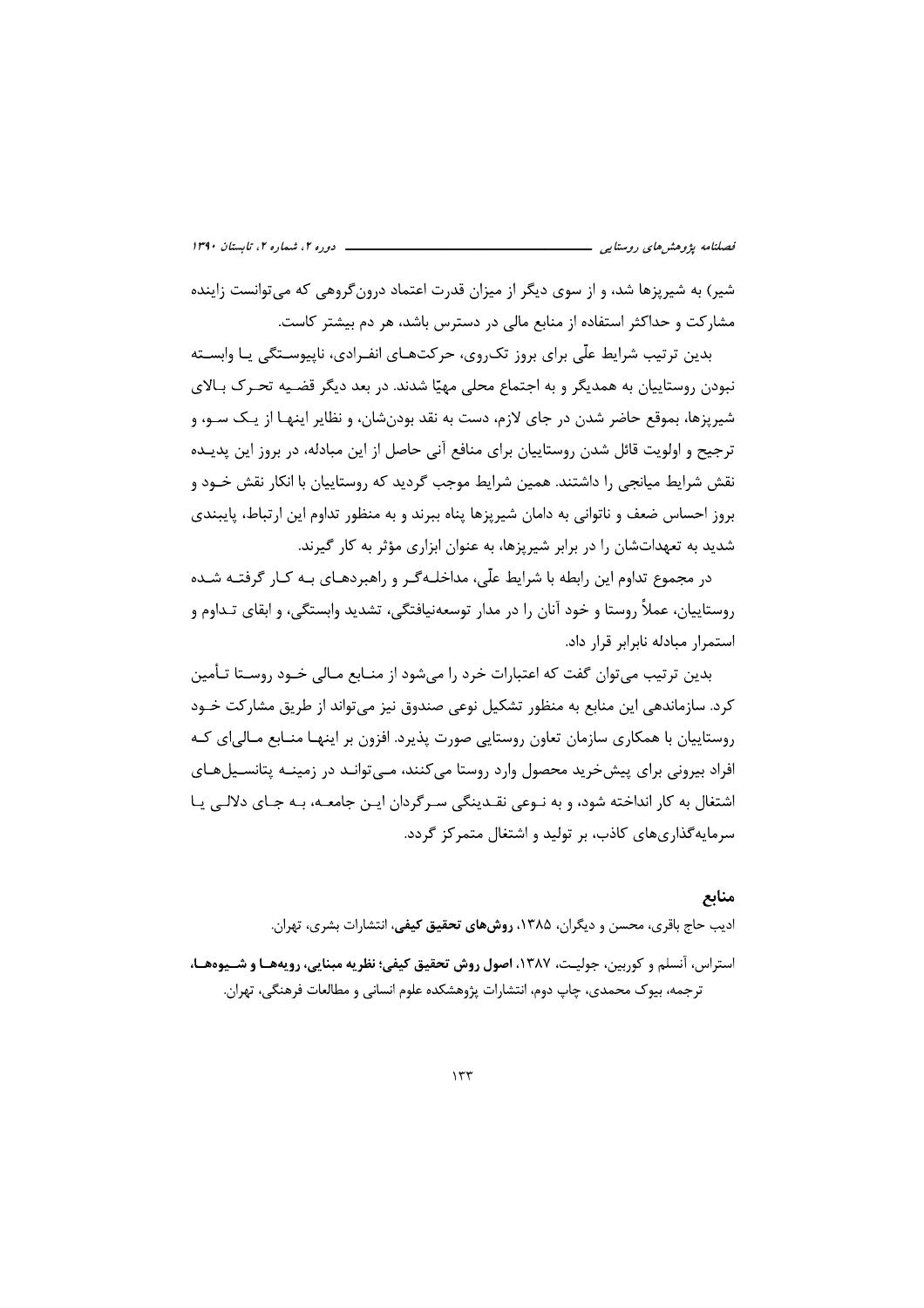شیر) به شیریزها شد، و از سوی دیگر از میزان قدرت اعتماد درون گروهی که می توانست زاینده مشارکت و حداکثر استفاده از منابع مالی در دسترس باشد، هر دم بیشتر کاست.

بدین ترتیب شرایط علّی برای بروز تکروی، حرکتهـای انفـرادی، ناپیوسـتگی یـا وابسـته نبودن روستاییان به همدیگر و به اجتماع محلی مهیّا شدند. در بعد دیگر قضـیه تحـرک بـالای شيريزها، بموقع حاضر شدن در جاي لازم، دست به نقد بودن شان، و نظاير اينهـا از يـک سـو، و ترجيح و اولويت قائل شدن روستاييان براي منافع آني حاصل از اين مبادله، در بروز اين پديــده نقش شرایط میانجی را داشتند. همین شرایط موجب گردید که روستاییان با انکار نقش خـود و بروز احساس ضعف و ناتوانی به دامان شیرپزها پناه ببرند و به منظور تداوم این ارتباط، پایبندی شدید به تعهداتشان را در برابر شیریزها، به عنوان ابزاری مؤثر به کار گیرند.

در مجموع تداوم این رابطه با شرایط علّی، مداخلـهڰـر و راهبردهـای بـه کـار گرفتـه شـده روستاییان، عملاً روستا و خود آنان را در مدار توسعهنیافتگی، تشدید وابستگی، و ابقای تـداوم و استمرار مبادله نابرابر قرار داد.

بدین ترتیب می توان گفت که اعتبارات خرد را می شود از منـابع مـالی خـود روســتا تـأمین کرد. سازماندهی این منابع به منظور تشکیل نوعی صندوق نیز می تواند از طریق مشارکت خــود روستاییان با همکاری سازمان تعاون روستایی صورت پذیرد. افزون بر اینهـا منـابع مـالی|ی کـه افراد بیرونی برای پیش خرید محصول وارد روستا می کنند، مـی توانـد در زمینــه پتانســیل۱عـای اشتغال به کار انداخته شود، و به نـوعی نقـدینگی سـرگردان ایـن جامعـه، بـه جـای دلالـی یـا سرمایه گذاری های کاذب، بر تولید و اشتغال متمرکز گردد.

#### منابع

ادیب حاج باقری، محسن و دیگران، ۱۳۸۵، **روشهای تحقیق کیفی**، انتشارات بشری، تهران.

استراس، آنسلم و کوربین، جولیـت، ۱۳۸۷، اصول روش تحقیق کیفی؛ نظریه مبنایی، رویههـا و شـیوههـا، ترجمه، بیوک محمدی، چاپ دوم، انتشارات پژوهشکده علوم انسانی و مطالعات فرهنگی، تهران.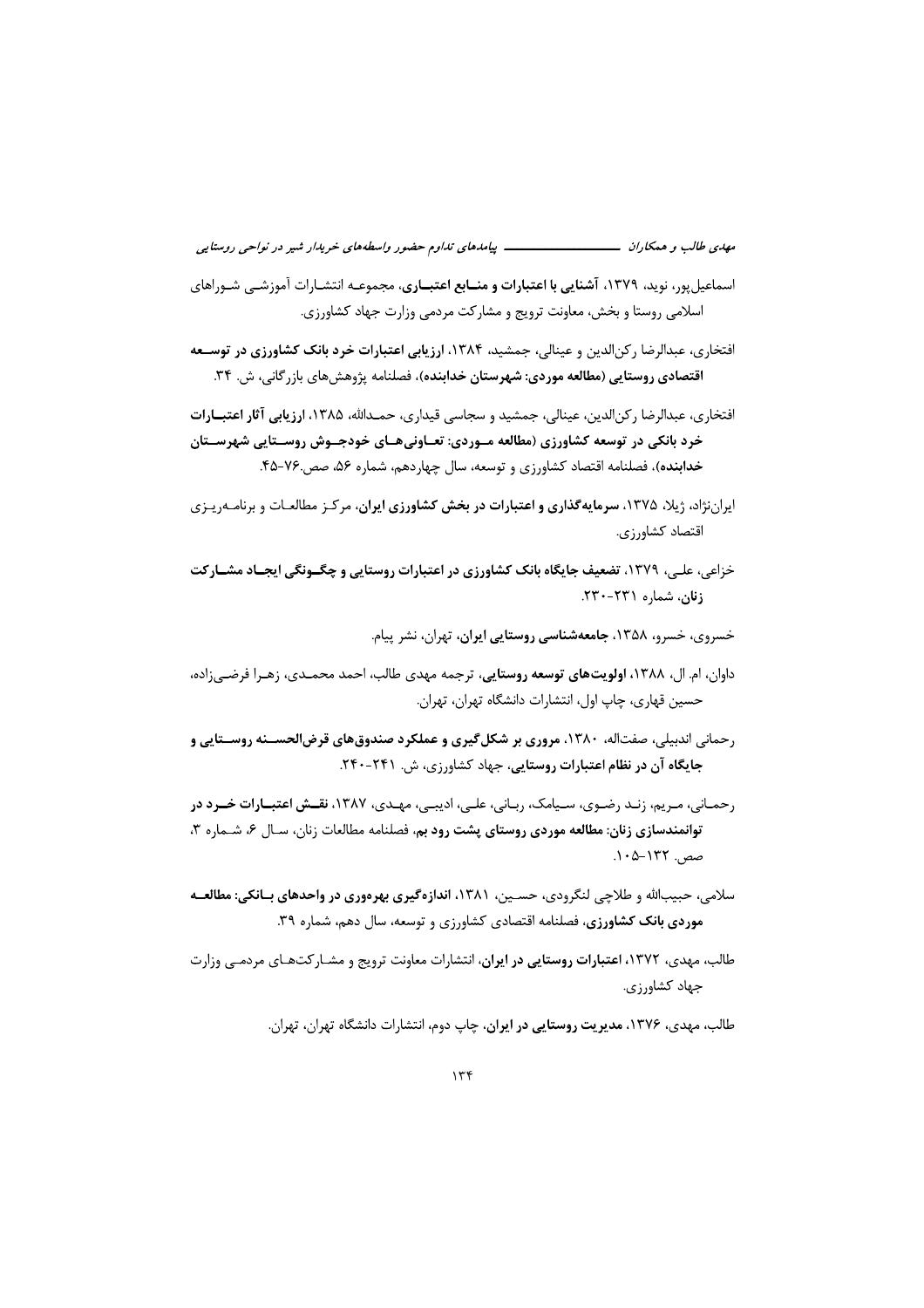- اسماعیلپور، نوید، ۱۳۷۹، <mark>آشنایی با اعتبارات و منــابع اعتبــاری</mark>، مجموعــه انتشــارات آموزشــ<sub>ه،</sub> شــوراهای اسلامی روستا و بخش، معاونت ترویج و مشارکت مردمی وزارت جهاد کشاورزی.
- افتخاری، عبدالرضا رکن الدین و عینالی، جمشید، ۱۳۸۴، ارزیابی ا**عتبارات خرد بانک کشاورزی در توسـعه** اقتصادی روستایی (مطالعه موردی: شهرستان خدابنده)، فصلنامه پژوهشهای بازر گانی، ش. ۳۴.
- افتخاری، عبدالرضا رکنالدین، عینالی، جمشید و سجاسی قیداری، حمـدالله، ۱۳۸۵، ا**رزیابی آثار اعتبــارات** خرد بانکی در توسعه کشاورزی (مطالعه مـوردی: تعـاونیهـای خودجـوش روســتایی شهرســتان خدابنده)، فصلنامه اقتصاد کشاورزی و توسعه، سال چهاردهم، شماره ۵۶، صصـ.۷۶-۴۵.
- ایراننژاد، ژیلا، ۱۳۷۵، **سرمایهگذاری و اعتبارات در بخش کشاورزی ایران**، مرکـز مطالعـات و برنامـهریـزی اقتصاد كشاورزي.
- خزاعی، علبی، ۱۳۷۹، تضعیف جایگاه بانک کشاورزی در اعتبارات روستایی و چگــونگی ایجــاد مشــارکت زنان، شماره ۲۳۱-۲۳۰.
	- خسروی، خسرو، ۱۳۵۸، جامعهشناسی روستایی ایران، تهران، نشر پیام.
- داوان، ام. ال، ۱۳۸۸، ا**ولویتهای توسعه روستایی**، ترجمه مهدی طالب، احمد محمــدی، زهـرا فرضــ<sub>ی ن</sub>اده، حسین قهاری، چاپ اول، انتشارات دانشگاه تهران، تهران.
- رحمانی اندبیلی، صفتاله، ۱۳۸۰، مروری بر شکل گیری و عملکرد صندوق های قرض الحســنه روســتایی و جایگاه آن در نظام اعتبارات روستایی، جهاد کشاورزی، ش. ۲۴۱-۲۴۰.
- رحمـانی، مـریم، زنـد رضـوی، سـیامک، ربـانی، علـی، ادیبـی، مهـدی، ۱۳۸۷، نقـش اعتبـارات خــرد در توانمندسازی زنان: مطالعه موردی روستای پشت رود بم، فصلنامه مطالعات زنان، سـال ۶، شـماره ۳،
- سلامی، حبیبالله و طلاحی لنگرودی، حسـین، ۱۳۸۱، اندازهگیری بهرهوری در واحدهای بــانکی: مطالعــه **موردی بانک کشاورزی**، فصلنامه اقتصادی کشاورزی و توسعه، سال دهم، شماره ۳۹.
- طالب، مهدی، ۱۳۷۲، ا**عتبارات روستایی در ایران**، انتشارات معاونت ترویج و مشـار کتهـای مردمــی وزارت جهاد کشاورزی.

طالب، مهدی، ۱۳۷۶، م**دیریت روستایی در ایران**، چاپ دوم، انتشارات دانشگاه تهران، تهران.